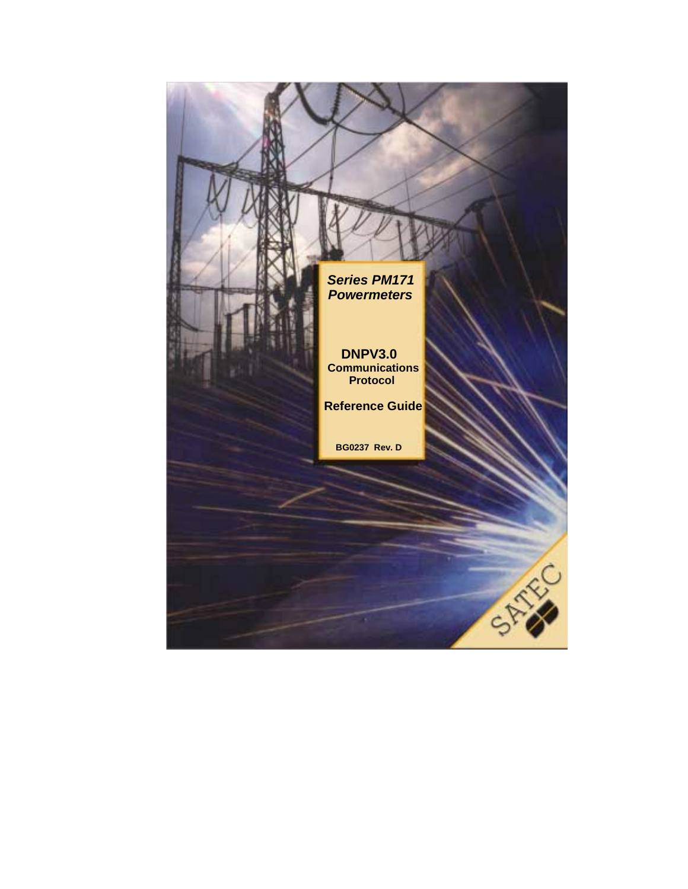*Series PM171 Powermeters*

**DNPV3.0 Communications Protocol**

**Reference Guide**

**BG0237 Rev. D**

STR.

 $\frac{1}{2}$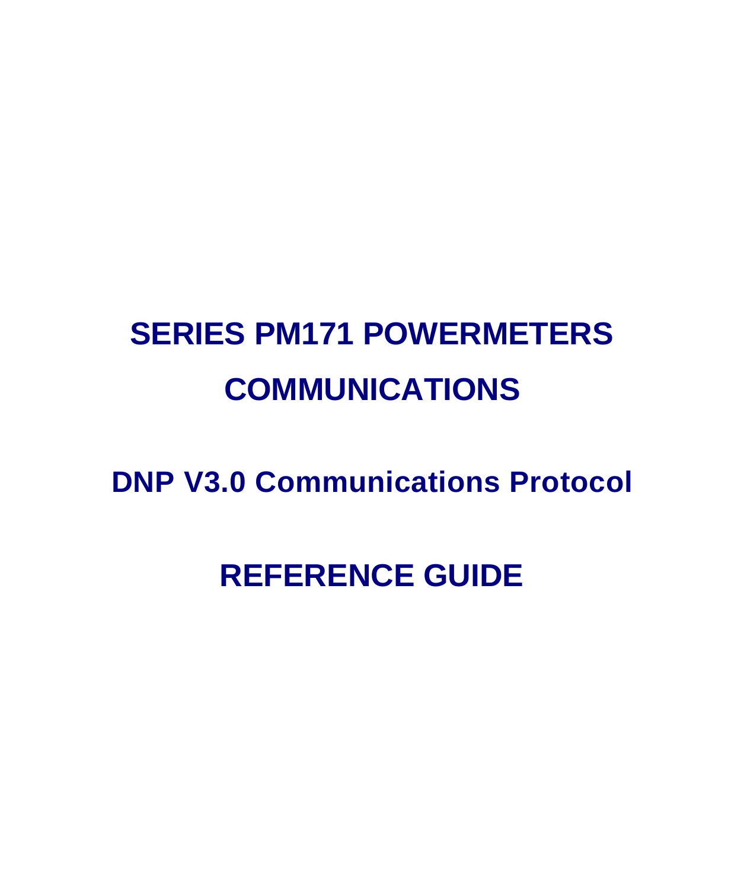# **SERIES PM171 POWERMETERS COMMUNICATIONS**

**DNP V3.0 Communications Protocol**

## **REFERENCE GUIDE**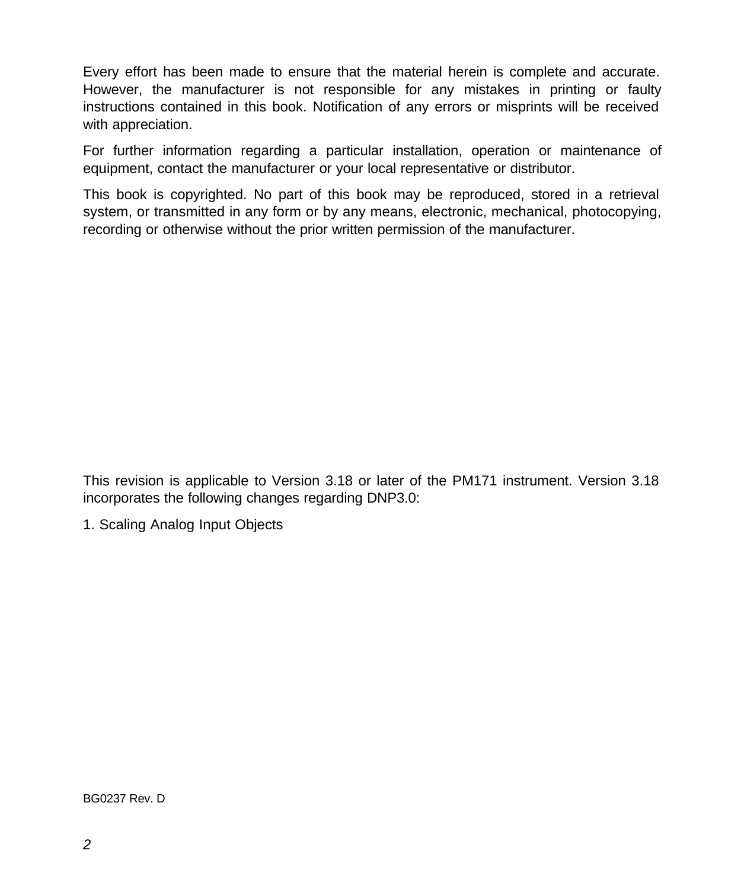Every effort has been made to ensure that the material herein is complete and accurate. However, the manufacturer is not responsible for any mistakes in printing or faulty instructions contained in this book. Notification of any errors or misprints will be received with appreciation.

For further information regarding a particular installation, operation or maintenance of equipment, contact the manufacturer or your local representative or distributor.

This book is copyrighted. No part of this book may be reproduced, stored in a retrieval system, or transmitted in any form or by any means, electronic, mechanical, photocopying, recording or otherwise without the prior written permission of the manufacturer.

This revision is applicable to Version 3.18 or later of the PM171 instrument. Version 3.18 incorporates the following changes regarding DNP3.0:

1. Scaling Analog Input Objects

BG0237 Rev. D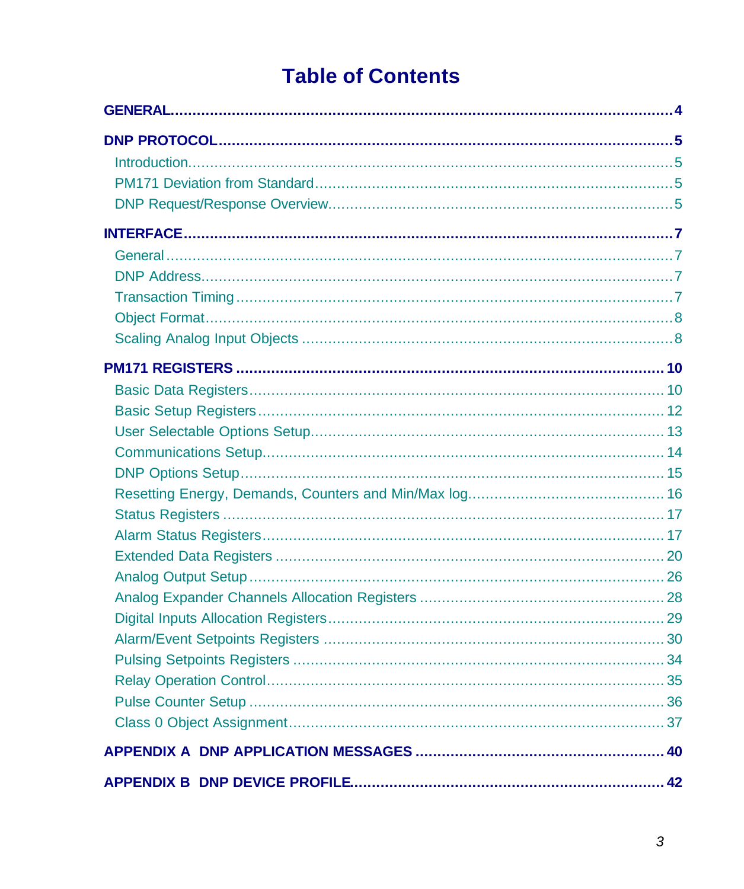### **Table of Contents**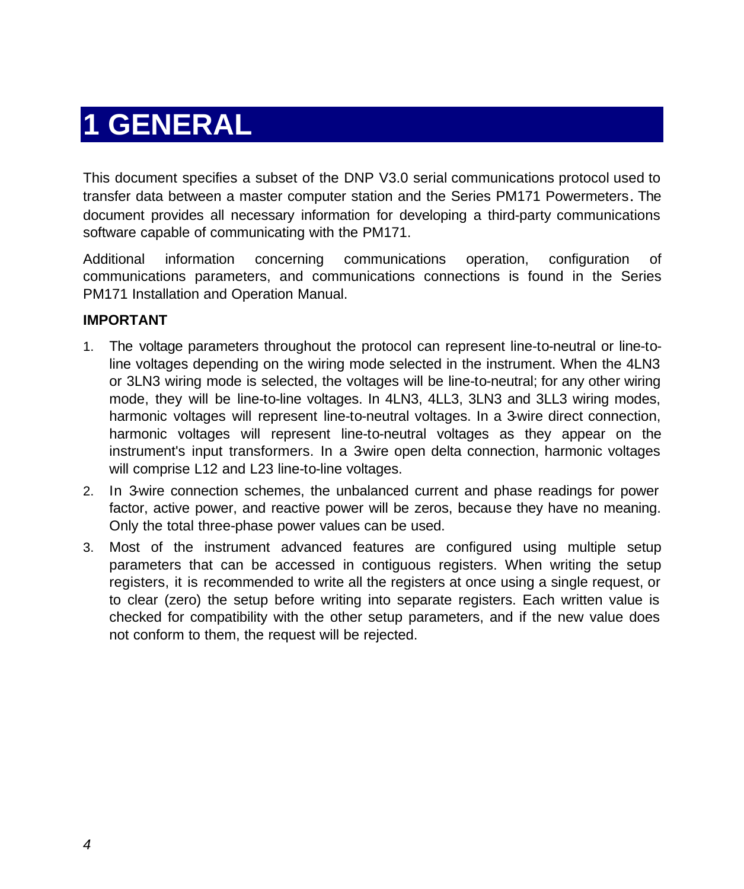### **1 GENERAL**

This document specifies a subset of the DNP V3.0 serial communications protocol used to transfer data between a master computer station and the Series PM171 Powermeters. The document provides all necessary information for developing a third-party communications software capable of communicating with the PM171.

Additional information concerning communications operation, configuration of communications parameters, and communications connections is found in the Series PM171 Installation and Operation Manual.

#### **IMPORTANT**

- 1. The voltage parameters throughout the protocol can represent line-to-neutral or line-toline voltages depending on the wiring mode selected in the instrument. When the 4LN3 or 3LN3 wiring mode is selected, the voltages will be line-to-neutral; for any other wiring mode, they will be line-to-line voltages. In 4LN3, 4LL3, 3LN3 and 3LL3 wiring modes, harmonic voltages will represent line-to-neutral voltages. In a 3-wire direct connection, harmonic voltages will represent line-to-neutral voltages as they appear on the instrument's input transformers. In a 3-wire open delta connection, harmonic voltages will comprise L12 and L23 line-to-line voltages.
- 2. In 3-wire connection schemes, the unbalanced current and phase readings for power factor, active power, and reactive power will be zeros, because they have no meaning. Only the total three-phase power values can be used.
- 3. Most of the instrument advanced features are configured using multiple setup parameters that can be accessed in contiguous registers. When writing the setup registers, it is recommended to write all the registers at once using a single request, or to clear (zero) the setup before writing into separate registers. Each written value is checked for compatibility with the other setup parameters, and if the new value does not conform to them, the request will be rejected.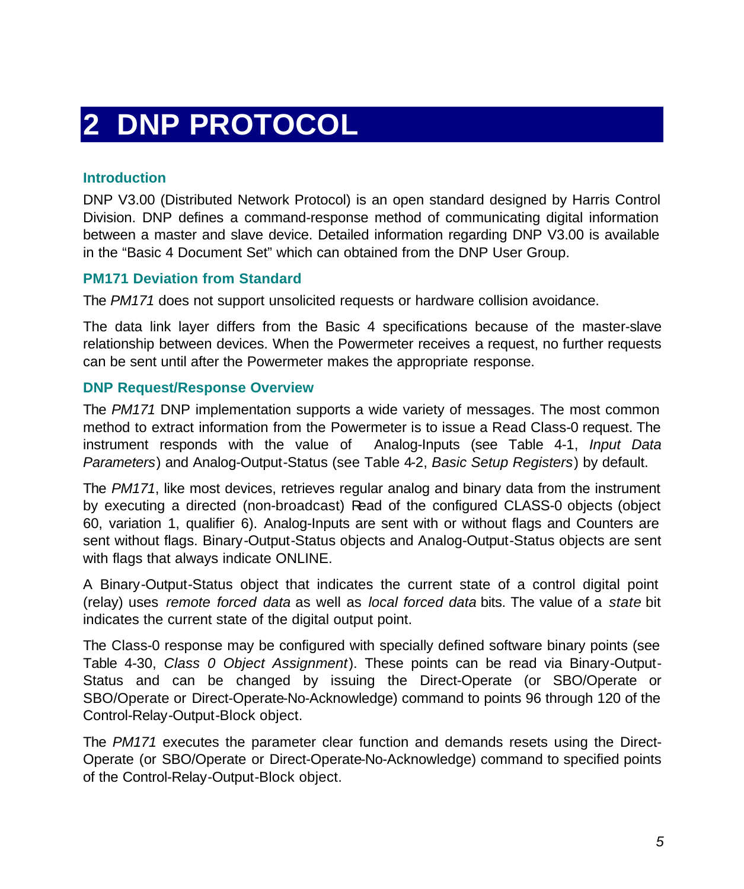### **2 DNP PROTOCOL**

#### **Introduction**

DNP V3.00 (Distributed Network Protocol) is an open standard designed by Harris Control Division. DNP defines a command-response method of communicating digital information between a master and slave device. Detailed information regarding DNP V3.00 is available in the "Basic 4 Document Set" which can obtained from the DNP User Group.

#### **PM171 Deviation from Standard**

The *PM171* does not support unsolicited requests or hardware collision avoidance.

The data link layer differs from the Basic 4 specifications because of the master-slave relationship between devices. When the Powermeter receives a request, no further requests can be sent until after the Powermeter makes the appropriate response.

#### **DNP Request/Response Overview**

The *PM171* DNP implementation supports a wide variety of messages. The most common method to extract information from the Powermeter is to issue a Read Class-0 request. The instrument responds with the value of Analog-Inputs (see Table 4-1, *Input Data Parameters*) and Analog-Output-Status (see Table 4-2, *Basic Setup Registers*) by default.

The *PM171*, like most devices, retrieves regular analog and binary data from the instrument by executing a directed (non-broadcast) Read of the configured CLASS-0 objects (object 60, variation 1, qualifier 6). Analog-Inputs are sent with or without flags and Counters are sent without flags. Binary-Output-Status objects and Analog-Output-Status objects are sent with flags that always indicate ONLINE.

A Binary-Output-Status object that indicates the current state of a control digital point (relay) uses *remote forced data* as well as *local forced data* bits. The value of a *state* bit indicates the current state of the digital output point.

The Class-0 response may be configured with specially defined software binary points (see Table 4-30, *Class 0 Object Assignment*). These points can be read via Binary-Output-Status and can be changed by issuing the Direct-Operate (or SBO/Operate or SBO/Operate or Direct-Operate-No-Acknowledge) command to points 96 through 120 of the Control-Relay-Output-Block object.

The *PM171* executes the parameter clear function and demands resets using the Direct-Operate (or SBO/Operate or Direct-Operate-No-Acknowledge) command to specified points of the Control-Relay-Output-Block object.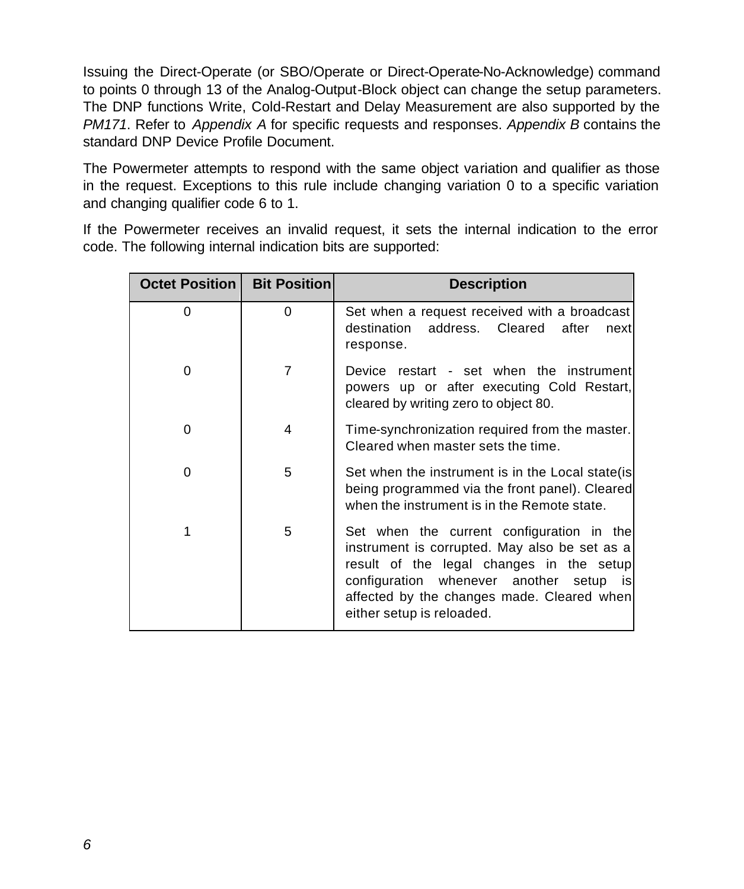Issuing the Direct-Operate (or SBO/Operate or Direct-Operate-No-Acknowledge) command to points 0 through 13 of the Analog-Output-Block object can change the setup parameters. The DNP functions Write, Cold-Restart and Delay Measurement are also supported by the *PM171*. Refer to *Appendix A* for specific requests and responses. *Appendix B* contains the standard DNP Device Profile Document.

The Powermeter attempts to respond with the same object variation and qualifier as those in the request. Exceptions to this rule include changing variation 0 to a specific variation and changing qualifier code 6 to 1.

If the Powermeter receives an invalid request, it sets the internal indication to the error code. The following internal indication bits are supported:

| <b>Octet Position I</b> | <b>Bit Position</b> | <b>Description</b>                                                                                                                                                                                                                                                  |
|-------------------------|---------------------|---------------------------------------------------------------------------------------------------------------------------------------------------------------------------------------------------------------------------------------------------------------------|
| 0                       | 0                   | Set when a request received with a broadcast<br>destination address. Cleared<br>after<br>next<br>response.                                                                                                                                                          |
| 0                       | 7                   | Device restart - set when the instrument<br>powers up or after executing Cold Restart,<br>cleared by writing zero to object 80.                                                                                                                                     |
| 0                       | 4                   | Time-synchronization required from the master.<br>Cleared when master sets the time.                                                                                                                                                                                |
| 0                       | 5                   | Set when the instrument is in the Local state (is<br>being programmed via the front panel). Cleared<br>when the instrument is in the Remote state.                                                                                                                  |
| 1                       | 5                   | Set when the current configuration in the<br>instrument is corrupted. May also be set as a<br>result of the legal changes in the setup<br>configuration whenever another<br>isl<br>setup<br>affected by the changes made. Cleared when<br>either setup is reloaded. |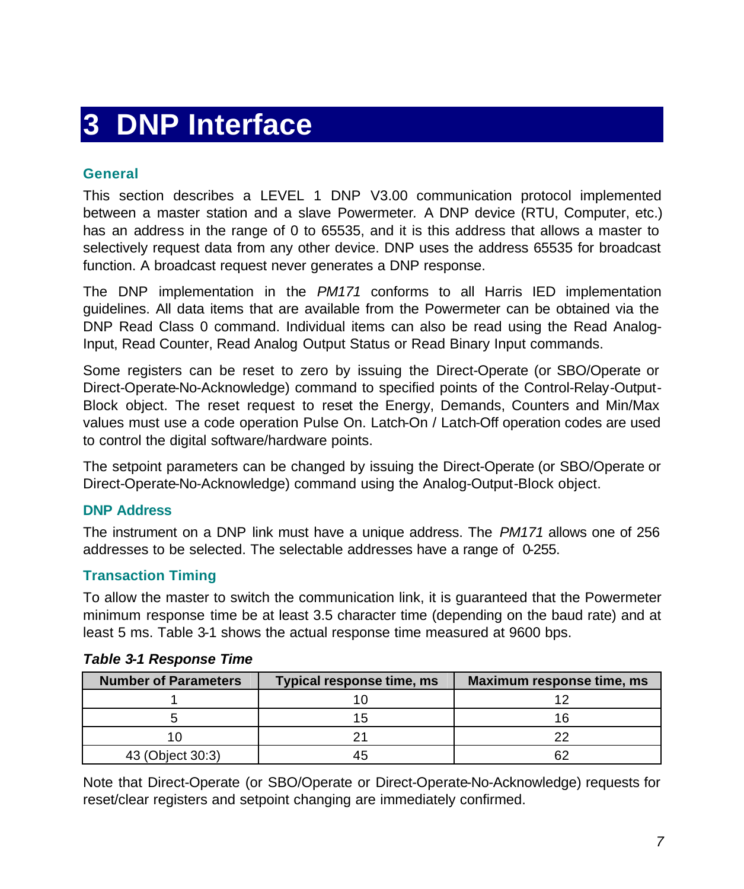### **3 DNP Interface**

#### **General**

This section describes a LEVEL 1 DNP V3.00 communication protocol implemented between a master station and a slave Powermeter*.* A DNP device (RTU, Computer, etc.) has an address in the range of 0 to 65535, and it is this address that allows a master to selectively request data from any other device. DNP uses the address 65535 for broadcast function. A broadcast request never generates a DNP response.

The DNP implementation in the *PM171* conforms to all Harris IED implementation guidelines. All data items that are available from the Powermeter can be obtained via the DNP Read Class 0 command. Individual items can also be read using the Read Analog-Input, Read Counter, Read Analog Output Status or Read Binary Input commands.

Some registers can be reset to zero by issuing the Direct-Operate (or SBO/Operate or Direct-Operate-No-Acknowledge) command to specified points of the Control-Relay-Output-Block object. The reset request to reset the Energy, Demands, Counters and Min/Max values must use a code operation Pulse On. Latch-On / Latch-Off operation codes are used to control the digital software/hardware points.

The setpoint parameters can be changed by issuing the Direct-Operate (or SBO/Operate or Direct-Operate-No-Acknowledge) command using the Analog-Output-Block object.

#### **DNP Address**

The instrument on a DNP link must have a unique address. The *PM171* allows one of 256 addresses to be selected. The selectable addresses have a range of 0-255.

#### **Transaction Timing**

To allow the master to switch the communication link, it is guaranteed that the Powermeter minimum response time be at least 3.5 character time (depending on the baud rate) and at least 5 ms. Table 3-1 shows the actual response time measured at 9600 bps.

| <b>Number of Parameters</b> | Typical response time, ms | Maximum response time, ms |
|-----------------------------|---------------------------|---------------------------|
|                             |                           |                           |
|                             |                           |                           |
|                             |                           |                           |
| 43 (Object 30:3)            |                           |                           |

#### *Table 3-1 Response Time*

Note that Direct-Operate (or SBO/Operate or Direct-Operate-No-Acknowledge) requests for reset/clear registers and setpoint changing are immediately confirmed.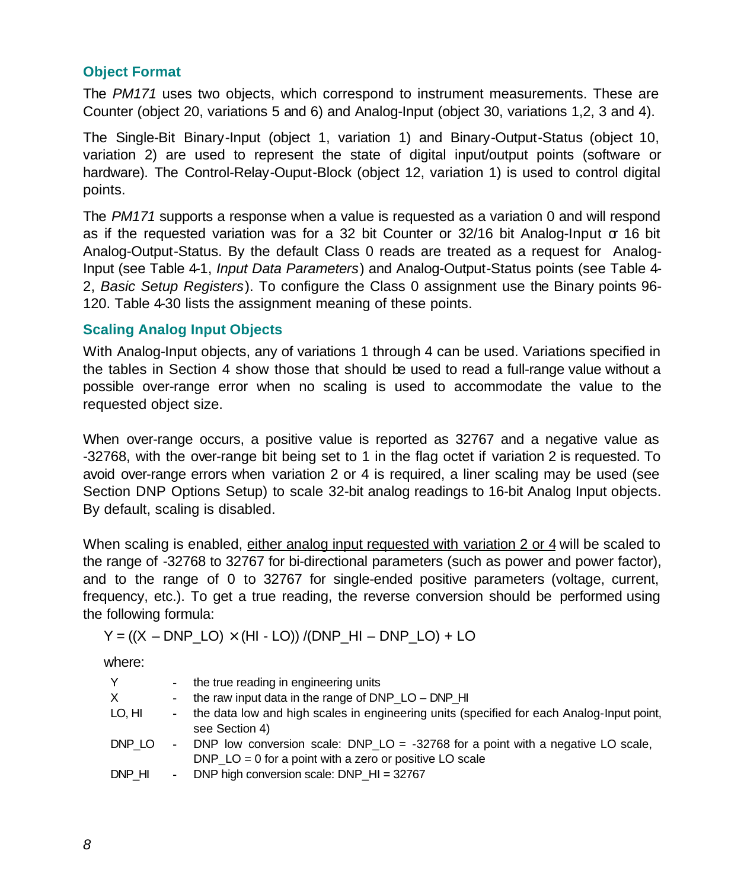#### <span id="page-8-0"></span>**Object Format**

The *PM171* uses two objects, which correspond to instrument measurements. These are Counter (object 20, variations 5 and 6) and Analog-Input (object 30, variations 1,2, 3 and 4).

The Single-Bit Binary-Input (object 1, variation 1) and Binary-Output-Status (object 10, variation 2) are used to represent the state of digital input/output points (software or hardware). The Control-Relay-Ouput-Block (object 12, variation 1) is used to control digital points.

The *PM171* supports a response when a value is requested as a variation 0 and will respond as if the requested variation was for a 32 bit Counter or  $32/16$  bit Analog-Input  $\sigma$  16 bit Analog-Output-Status. By the default Class 0 reads are treated as a request for Analog-Input (see Table 4-1, *Input Data Parameters*) and Analog-Output-Status points (see Table 4- 2, *Basic Setup Registers*). To configure the Class 0 assignment use the Binary points 96- 120. Table 4-30 lists the assignment meaning of these points.

#### **Scaling Analog Input Objects**

With Analog-Input objects, any of variations 1 through 4 can be used. Variations specified in the tables in Section 4 show those that should be used to read a full-range value without a possible over-range error when no scaling is used to accommodate the value to the requested object size.

When over-range occurs, a positive value is reported as 32767 and a negative value as -32768, with the over-range bit being set to 1 in the flag octet if variation 2 is requested. To avoid over-range errors when variation 2 or 4 is required, a liner scaling may be used (see Section DNP Options Setup) to scale 32-bit analog readings to 16-bit Analog Input objects. By default, scaling is disabled.

When scaling is enabled, either analog input requested with variation 2 or 4 will be scaled to the range of -32768 to 32767 for bi-directional parameters (such as power and power factor), and to the range of 0 to 32767 for single-ended positive parameters (voltage, current, frequency, etc.). To get a true reading, the reverse conversion should be performed using the following formula:

 $Y = ((X - DNP LO) \times (HI - LO)) / (DNP HI - DNP LO) + LO$ 

where:

| Y      | $\sim$         | the true reading in engineering units                                                                                                          |
|--------|----------------|------------------------------------------------------------------------------------------------------------------------------------------------|
| X.     | $\sim$         | the raw input data in the range of DNP $LO - DNP$ HI                                                                                           |
| lo, hi | $\sim$         | the data low and high scales in engineering units (specified for each Analog-Input point,<br>see Section 4)                                    |
| DNP LO | $\blacksquare$ | DNP low conversion scale: DNP_LO = $-32768$ for a point with a negative LO scale,<br>DNP $LO = 0$ for a point with a zero or positive LO scale |
| DNP HI | $\sim$         | DNP high conversion scale: DNP_HI = 32767                                                                                                      |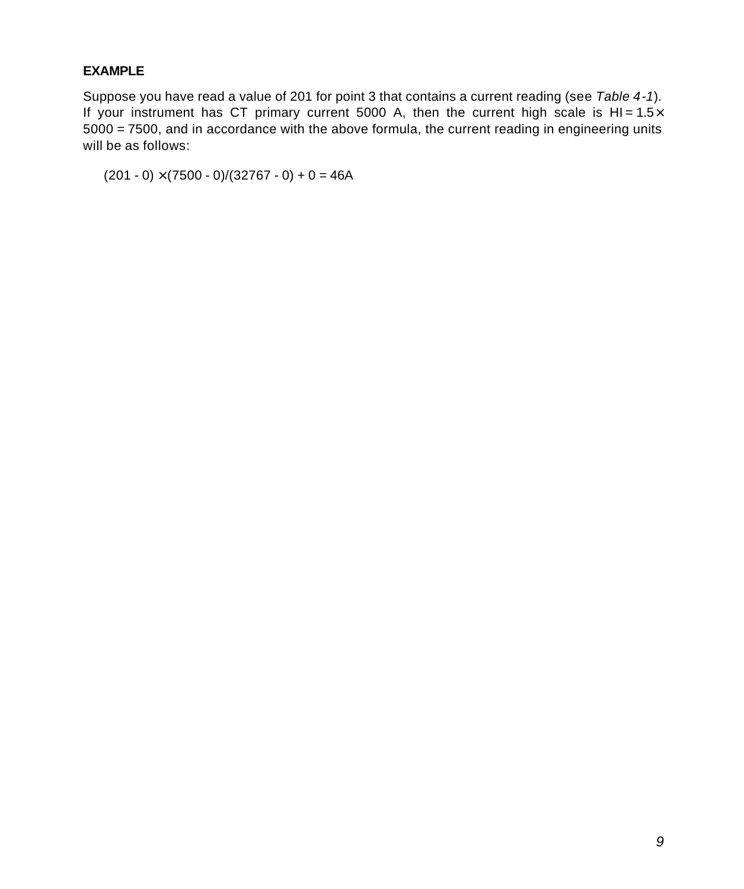#### **EXAMPLE**

Suppose you have read a value of 201 for point 3 that contains a current reading (see *Table 4-1*). If your instrument has CT primary current 5000 A, then the current high scale is HI =  $1.5\times$ 5000 = 7500, and in accordance with the above formula, the current reading in engineering units will be as follows:

 $(201 - 0) \times (7500 - 0)/(32767 - 0) + 0 = 46A$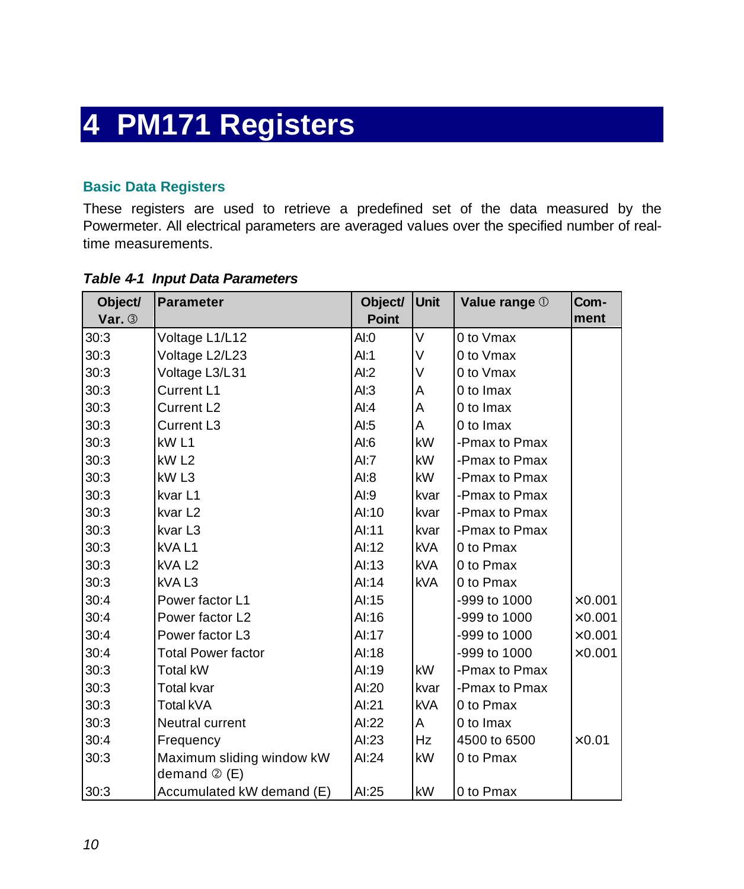### <span id="page-10-0"></span>**4 PM171 Registers**

#### **Basic Data Registers**

These registers are used to retrieve a predefined set of the data measured by the Powermeter. All electrical parameters are averaged values over the specified number of realtime measurements.

| Object/  | <b>Parameter</b>                                  | Object/      | Unit       | Value range 1 | Com-           |
|----------|---------------------------------------------------|--------------|------------|---------------|----------------|
| Var. $3$ |                                                   | <b>Point</b> |            |               | ment           |
| 30:3     | Voltage L1/L12                                    | AI:0         | V          | 0 to Vmax     |                |
| 30:3     | Voltage L2/L23                                    | Al:1         | $\vee$     | 0 to Vmax     |                |
| 30:3     | Voltage L3/L31                                    | AI:2         | $\vee$     | 0 to Vmax     |                |
| 30:3     | Current L1                                        | AI:3         | A          | 0 to Imax     |                |
| 30:3     | Current L <sub>2</sub>                            | AI:4         | A          | 0 to Imax     |                |
| 30:3     | Current L3                                        | AI:5         | A          | 0 to Imax     |                |
| 30:3     | kW <sub>L1</sub>                                  | AI:6         | <b>kW</b>  | -Pmax to Pmax |                |
| 30:3     | kW <sub>L2</sub>                                  | AI:7         | <b>kW</b>  | -Pmax to Pmax |                |
| 30:3     | kW <sub>L3</sub>                                  | AI:8         | kW         | -Pmax to Pmax |                |
| 30:3     | kvar L1                                           | AI:9         | kvar       | -Pmax to Pmax |                |
| 30:3     | kvar L <sub>2</sub>                               | AI:10        | kvar       | -Pmax to Pmax |                |
| 30:3     | kvar L3                                           | Al:11        | kvar       | -Pmax to Pmax |                |
| 30:3     | kVAL1                                             | Al:12        | <b>kVA</b> | 0 to Pmax     |                |
| 30:3     | kVA <sub>L2</sub>                                 | Al:13        | <b>kVA</b> | 0 to Pmax     |                |
| 30:3     | kVAL3                                             | Al:14        | <b>kVA</b> | 0 to Pmax     |                |
| 30:4     | Power factor L1                                   | AI:15        |            | -999 to 1000  | $\times$ 0.001 |
| 30:4     | Power factor L2                                   | AI:16        |            | -999 to 1000  | $\times 0.001$ |
| 30:4     | Power factor L3                                   | Al:17        |            | -999 to 1000  | $\times 0.001$ |
| 30:4     | <b>Total Power factor</b>                         | AI:18        |            | -999 to 1000  | $\times$ 0.001 |
| 30:3     | <b>Total kW</b>                                   | AI:19        | kW         | -Pmax to Pmax |                |
| 30:3     | Total kvar                                        | AI:20        | kvar       | -Pmax to Pmax |                |
| 30:3     | Total kVA                                         | AI:21        | <b>kVA</b> | 0 to Pmax     |                |
| 30:3     | Neutral current                                   | AI:22        | A          | 0 to Imax     |                |
| 30:4     | Frequency                                         | AI:23        | <b>Hz</b>  | 4500 to 6500  | $\times 0.01$  |
| 30:3     | Maximum sliding window kW<br>demand $\oslash$ (E) | AI:24        | kW         | 0 to Pmax     |                |
| 30:3     | Accumulated kW demand (E)                         | AI:25        | kW         | 0 to Pmax     |                |

#### *Table 4-1 Input Data Parameters*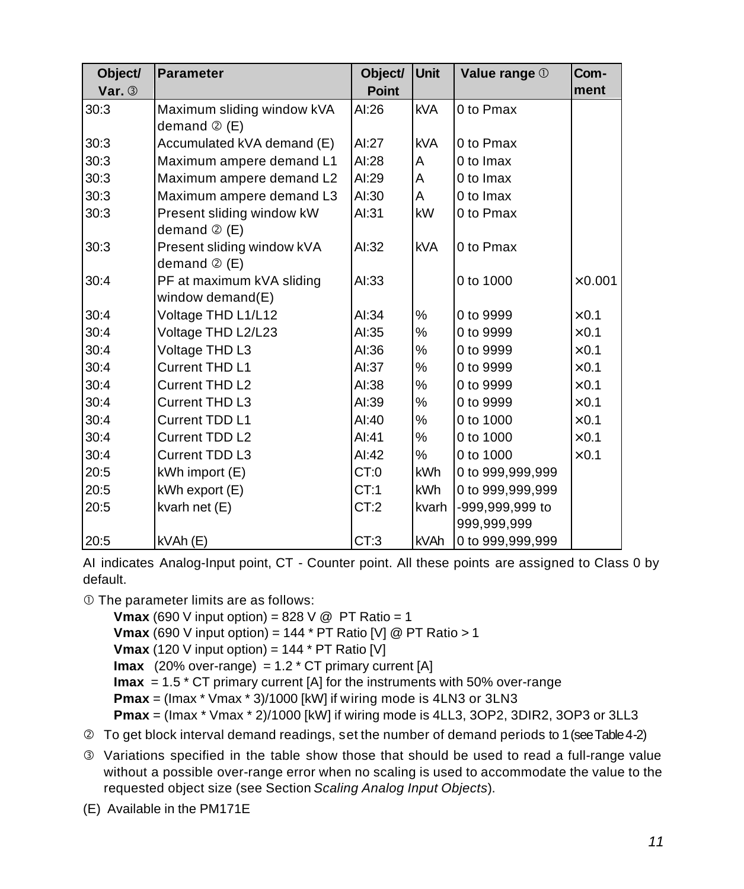| Object/  | <b>Parameter</b>           | Object/      | Unit        | Value range 1    | Com-           |
|----------|----------------------------|--------------|-------------|------------------|----------------|
| Var. $3$ |                            | <b>Point</b> |             |                  | ment           |
| 30:3     | Maximum sliding window kVA | AI:26        | <b>kVA</b>  | 0 to Pmax        |                |
|          | demand $\oslash$ (E)       |              |             |                  |                |
| 30:3     | Accumulated kVA demand (E) | AI:27        | <b>kVA</b>  | 0 to Pmax        |                |
| 30:3     | Maximum ampere demand L1   | AI:28        | A           | 0 to Imax        |                |
| 30:3     | Maximum ampere demand L2   | AI:29        | A           | 0 to Imax        |                |
| 30:3     | Maximum ampere demand L3   | AI:30        | A           | 0 to Imax        |                |
| 30:3     | Present sliding window kW  | AI:31        | kW          | 0 to Pmax        |                |
|          | demand $\circledcirc$ (E)  |              |             |                  |                |
| 30:3     | Present sliding window kVA | AI:32        | <b>kVA</b>  | 0 to Pmax        |                |
|          | demand $\oslash$ (E)       |              |             |                  |                |
| 30:4     | PF at maximum kVA sliding  | AI:33        |             | 0 to 1000        | $\times 0.001$ |
|          | window demand $(E)$        |              |             |                  |                |
| 30:4     | Voltage THD L1/L12         | AI:34        | %           | 0 to 9999        | $\times$ 0.1   |
| 30:4     | Voltage THD L2/L23         | AI:35        | %           | 0 to 9999        | $\times$ 0.1   |
| 30:4     | Voltage THD L3             | AI:36        | %           | 0 to 9999        | $\times$ 0.1   |
| 30:4     | Current THD L1             | AI:37        | %           | 0 to 9999        | $\times$ 0.1   |
| 30:4     | Current THD L2             | AI:38        | $\%$        | 0 to 9999        | $\times$ 0.1   |
| 30:4     | Current THD L3             | AI:39        | $\%$        | 0 to 9999        | $\times$ 0.1   |
| 30:4     | <b>Current TDD L1</b>      | AI:40        | %           | 0 to 1000        | $\times$ 0.1   |
| 30:4     | Current TDD L2             | AI:41        | $\%$        | 0 to 1000        | $\times$ 0.1   |
| 30:4     | Current TDD L3             | AI:42        | $\%$        | 0 to 1000        | $\times$ 0.1   |
| 20:5     | $kWh$ import $(E)$         | CT:0         | kWh         | 0 to 999,999,999 |                |
| 20:5     | kWh export (E)             | CT:1         | <b>kWh</b>  | 0 to 999,999,999 |                |
| 20:5     | kvarh net (E)              | CT:2         | kvarh       | -999,999,999 to  |                |
|          |                            |              |             | 999,999,999      |                |
| 20:5     | kVAh(E)                    | CT:3         | <b>kVAh</b> | 0 to 999,999,999 |                |

AI indicates Analog-Input point, CT - Counter point. All these points are assigned to Class 0 by default.

 $<sup>①</sup>$  The parameter limits are as follows:</sup>

**Vmax** (690 V input option) = 828 V @ PT Ratio = 1 **Vmax** (690 V input option) = 144 \* PT Ratio [V] @ PT Ratio > 1 **Vmax** (120 V input option) =  $144 * PT$  Ratio [V] **Imax** (20% over-range) =  $1.2$  \* CT primary current [A] **Imax** = 1.5 \* CT primary current [A] for the instruments with 50% over-range **Pmax** = (Imax \* Vmax \* 3)/1000 [kW] if wiring mode is 4LN3 or 3LN3 **Pmax** = (Imax \* Vmax \* 2)/1000 [kW] if wiring mode is 4LL3, 3OP2, 3DIR2, 3OP3 or 3LL3

- Ç To get block interval demand readings, set the number of demand periods to 1 (see Table 4-2)
- É Variations specified in the table show those that should be used to read a full-range value without a possible over-range error when no scaling is used to accommodate the value to the requested object size (see Section *Scaling Analog Input Objects*).
- (E) Available in the PM171E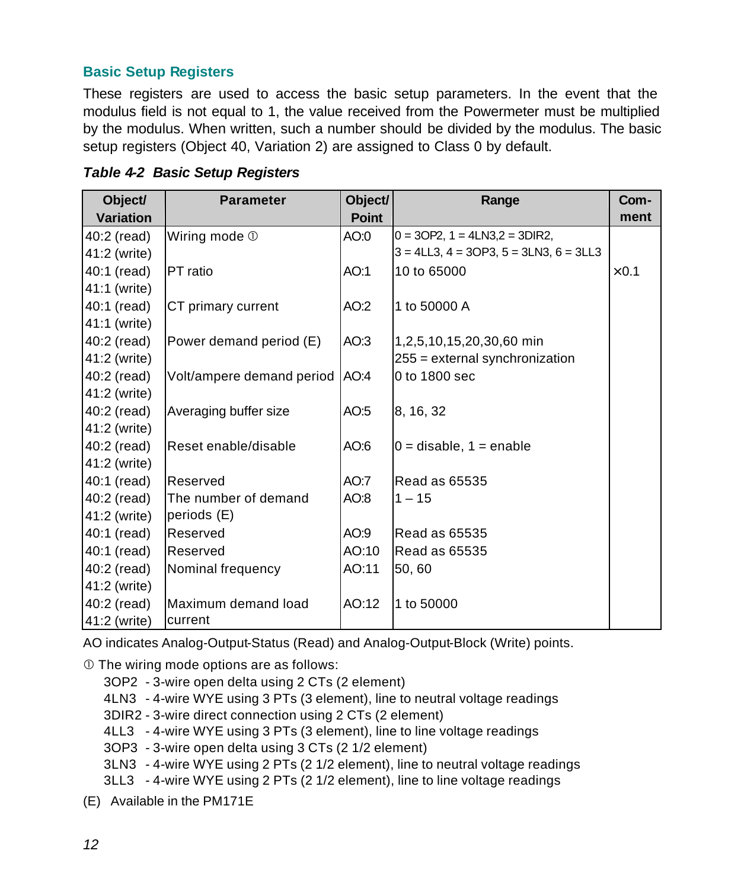#### <span id="page-12-0"></span>**Basic Setup Registers**

These registers are used to access the basic setup parameters. In the event that the modulus field is not equal to 1, the value received from the Powermeter must be multiplied by the modulus. When written, such a number should be divided by the modulus. The basic setup registers (Object 40, Variation 2) are assigned to Class 0 by default.

| Object/          | <b>Parameter</b>          | Object/      | Range                                             | Com-         |
|------------------|---------------------------|--------------|---------------------------------------------------|--------------|
| <b>Variation</b> |                           | <b>Point</b> |                                                   | ment         |
| 40:2 (read)      | Wiring mode $\mathbb O$   | AO:0         | $0 = 3$ OP2, 1 = 4LN3,2 = 3DIR2,                  |              |
| 41:2 (write)     |                           |              | $3 = 4LL3$ , $4 = 3OP3$ , $5 = 3LN3$ , $6 = 3LL3$ |              |
| 40:1 (read)      | <b>PT</b> ratio           | AO:1         | 10 to 65000                                       | $\times$ 0.1 |
| 41:1 (write)     |                           |              |                                                   |              |
| 40:1 (read)      | CT primary current        | AO:2         | 1 to 50000 A                                      |              |
| 41:1 (write)     |                           |              |                                                   |              |
| 40:2 (read)      | Power demand period (E)   | AO:3         | 1,2,5,10,15,20,30,60 min                          |              |
| 41:2 (write)     |                           |              | 255 = external synchronization                    |              |
| 40:2 (read)      | Volt/ampere demand period | AO:4         | 0 to 1800 sec                                     |              |
| 41:2 (write)     |                           |              |                                                   |              |
| 40:2 (read)      | Averaging buffer size     | AO:5         | 8, 16, 32                                         |              |
| 41:2 (write)     |                           |              |                                                   |              |
| 40:2 (read)      | Reset enable/disable      | AO:6         | $0 =$ disable, $1 =$ enable                       |              |
| 41:2 (write)     |                           |              |                                                   |              |
| 40:1 (read)      | Reserved                  | AO:7         | <b>Read as 65535</b>                              |              |
| 40:2 (read)      | The number of demand      | AO:8         | $1 - 15$                                          |              |
| 41:2 (write)     | periods (E)               |              |                                                   |              |
| 40:1 (read)      | Reserved                  | AO:9         | <b>Read as 65535</b>                              |              |
| 40:1 (read)      | Reserved                  | AO:10        | <b>Read as 65535</b>                              |              |
| 40:2 (read)      | Nominal frequency         | AO:11        | 50,60                                             |              |
| 41:2 (write)     |                           |              |                                                   |              |
| 40:2 (read)      | Maximum demand load       | AO:12        | 1 to 50000                                        |              |
| 41:2 (write)     | current                   |              |                                                   |              |

*Table 4-2 Basic Setup Registers*

AO indicates Analog-Output-Status (Read) and Analog-Output-Block (Write) points.

 $<sup>①</sup>$  The wiring mode options are as follows:</sup>

- 3OP2 3-wire open delta using 2 CTs (2 element)
- 4LN3 4-wire WYE using 3 PTs (3 element), line to neutral voltage readings
- 3DIR2 3-wire direct connection using 2 CTs (2 element)
- 4LL3 4-wire WYE using 3 PTs (3 element), line to line voltage readings
- 3OP3 3-wire open delta using 3 CTs (2 1/2 element)
- 3LN3 4-wire WYE using 2 PTs (2 1/2 element), line to neutral voltage readings
- 3LL3 4-wire WYE using 2 PTs (2 1/2 element), line to line voltage readings
- (E) Available in the PM171E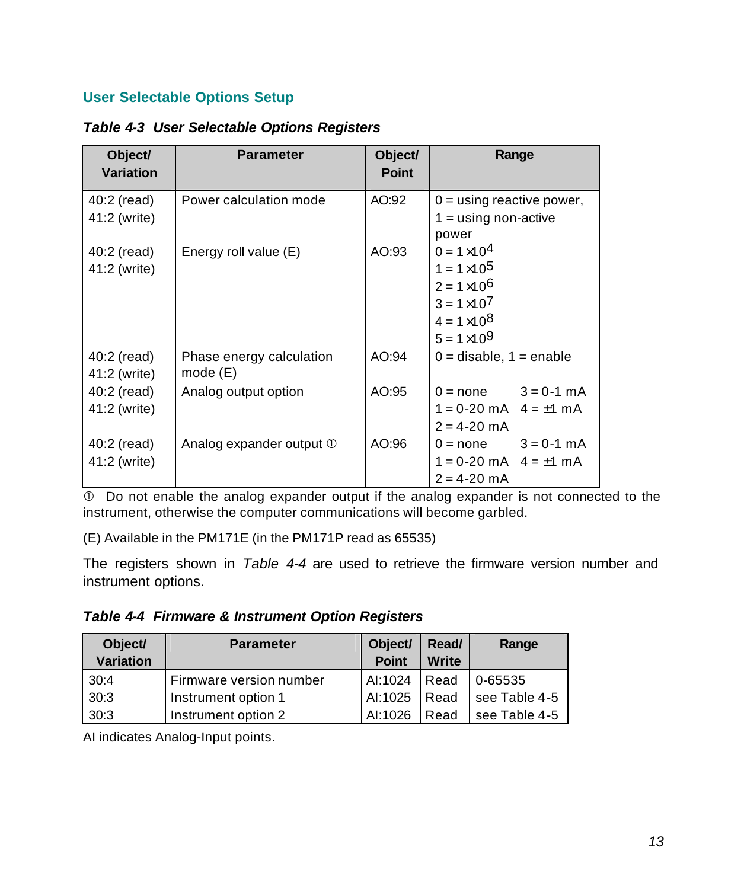#### **User Selectable Options Setup**

| Object/<br><b>Variation</b>   | <b>Parameter</b>                    | Object/<br><b>Point</b> | Range                                                                                                                                      |
|-------------------------------|-------------------------------------|-------------------------|--------------------------------------------------------------------------------------------------------------------------------------------|
| $40:2$ (read)<br>41:2 (write) | Power calculation mode              | AO:92                   | $0 =$ using reactive power,<br>$1 =$ using non-active<br>power                                                                             |
| 40:2 (read)<br>41:2 (write)   | Energy roll value (E)               | AO:93                   | $0 = 1 \times 10^{4}$<br>$1 = 1 \times 10^5$<br>$2 = 1 \times 10^6$<br>$3 = 1 \times 10^{7}$<br>$4 = 1 \times 10^8$<br>$5 = 1 \times 10^9$ |
| 40:2 (read)<br>41:2 (write)   | Phase energy calculation<br>mode(E) | AO:94                   | $0 =$ disable, $1 =$ enable                                                                                                                |
| 40:2 (read)<br>41:2 (write)   | Analog output option                | AO:95                   | $0 = none$ $3 = 0.1$ mA<br>$1 = 0-20$ mA $4 = \pm 1$ mA<br>$2 = 4 - 20$ mA                                                                 |
| 40:2 (read)<br>41:2 (write)   | Analog expander output ①            | AO:96                   | $0 = none$ $3 = 0.1$ mA<br>$1 = 0-20$ mA $4 = \pm 1$ mA<br>$2 = 4 - 20$ mA                                                                 |

*Table 4-3 User Selectable Options Registers*

Å Do not enable the analog expander output if the analog expander is not connected to the instrument, otherwise the computer communications will become garbled.

(E) Available in the PM171E (in the PM171P read as 65535)

The registers shown in *Table 4-4* are used to retrieve the firmware version number and instrument options.

*Table 4-4 Firmware & Instrument Option Registers*

| Object/          | <b>Parameter</b>        | Object/      | Read/ | Range         |
|------------------|-------------------------|--------------|-------|---------------|
| <b>Variation</b> |                         | <b>Point</b> | Write |               |
| 30:4             | Firmware version number | AI:1024      | Read  | 0-65535       |
| 30:3             | Instrument option 1     | AI:1025      | Read  | see Table 4-5 |
| 30:3             | Instrument option 2     | AI:1026      | Read  | see Table 4-5 |

AI indicates Analog-Input points.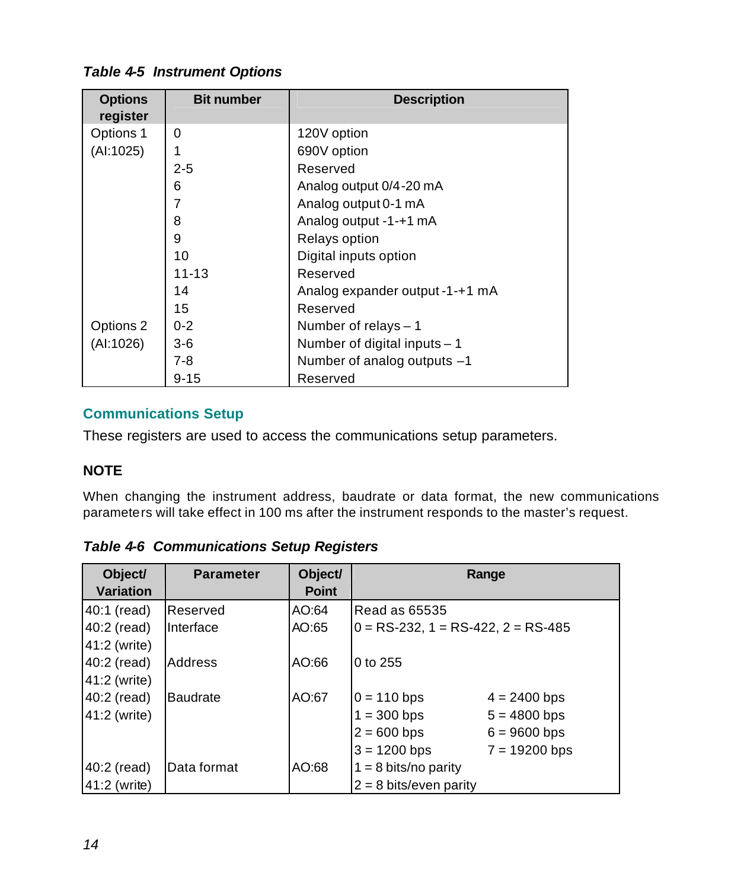#### <span id="page-14-0"></span>*Table 4-5 Instrument Options*

| <b>Options</b><br>register | <b>Bit number</b> | <b>Description</b>              |
|----------------------------|-------------------|---------------------------------|
| Options 1                  | 0                 | 120V option                     |
| (AI:1025)                  | 1                 | 690V option                     |
|                            | $2 - 5$           | Reserved                        |
|                            | 6                 | Analog output 0/4-20 mA         |
|                            | $\overline{7}$    | Analog output 0-1 mA            |
|                            | 8                 | Analog output -1-+1 mA          |
|                            | 9                 | Relays option                   |
|                            | 10                | Digital inputs option           |
|                            | $11 - 13$         | Reserved                        |
|                            | 14                | Analog expander output -1-+1 mA |
|                            | 15                | Reserved                        |
| Options 2                  | $0 - 2$           | Number of relays $-1$           |
| (AI:1026)                  | $3-6$             | Number of digital inputs - 1    |
|                            | $7 - 8$           | Number of analog outputs -1     |
|                            | $9 - 15$          | Reserved                        |

#### **Communications Setup**

These registers are used to access the communications setup parameters.

#### **NOTE**

When changing the instrument address, baudrate or data format, the new communications parameters will take effect in 100 ms after the instrument responds to the master's request.

*Table 4-6 Communications Setup Registers*

| Object/<br>Variation | <b>Parameter</b> | Object/<br><b>Point</b> |                                       | Range           |
|----------------------|------------------|-------------------------|---------------------------------------|-----------------|
| 40:1 (read)          | Reserved         | AO:64                   | Read as 65535                         |                 |
| 40:2 (read)          | Interface        | AO:65                   | $0 = RS-232$ , 1 = RS-422, 2 = RS-485 |                 |
| 41:2 (write)         |                  |                         |                                       |                 |
| 40:2 (read)          | Address          | AO:66                   | 0 to 255                              |                 |
| 41:2 (write)         |                  |                         |                                       |                 |
| 40:2 (read)          | <b>Baudrate</b>  | AO:67                   | $0 = 110$ bps                         | $4 = 2400$ bps  |
| 41:2 (write)         |                  |                         | $1 = 300$ bps                         | $5 = 4800$ bps  |
|                      |                  |                         | $2 = 600$ bps                         | $6 = 9600$ bps  |
|                      |                  |                         | $3 = 1200$ bps                        | $7 = 19200$ bps |
| $40:2$ (read)        | Data format      | AO:68                   | $1 = 8$ bits/no parity                |                 |
| 41:2 (write)         |                  |                         | $2 = 8$ bits/even parity              |                 |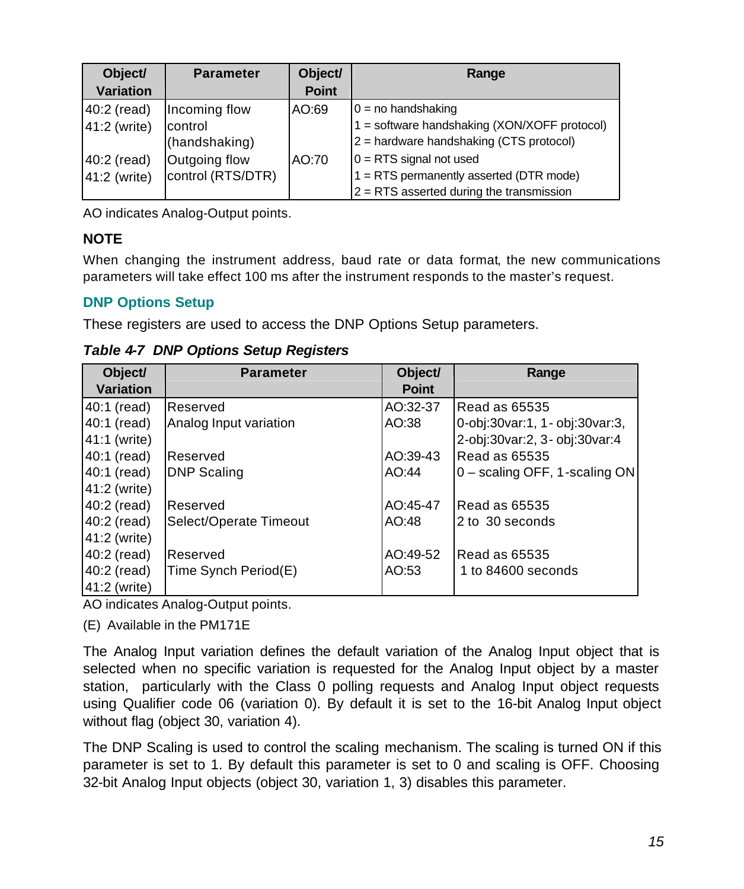<span id="page-15-0"></span>

| Object/<br><b>Variation</b> | <b>Parameter</b>  | Object/<br><b>Point</b> | Range                                        |
|-----------------------------|-------------------|-------------------------|----------------------------------------------|
| 40:2 (read)                 | Incoming flow     | AO:69                   | $0 = no$ handshaking                         |
| 41:2 (write)                | control           |                         | 1 = software handshaking (XON/XOFF protocol) |
|                             | (handshaking)     |                         | 2 = hardware handshaking (CTS protocol)      |
| 40:2 (read)                 | Outgoing flow     | AO:70                   | $0 = RTS$ signal not used                    |
| 41:2 (write)                | control (RTS/DTR) |                         | 1 = RTS permanently asserted (DTR mode)      |
|                             |                   |                         | $2 = RTS$ asserted during the transmission   |

AO indicates Analog-Output points.

#### **NOTE**

When changing the instrument address, baud rate or data format, the new communications parameters will take effect 100 ms after the instrument responds to the master's request.

#### **DNP Options Setup**

These registers are used to access the DNP Options Setup parameters.

*Table 4-7 DNP Options Setup Registers*

| Object/          | <b>Parameter</b>       | Object/      | Range                           |
|------------------|------------------------|--------------|---------------------------------|
| <b>Variation</b> |                        | <b>Point</b> |                                 |
| 40:1 (read)      | Reserved               | AO:32-37     | Read as 65535                   |
| 40:1 (read)      | Analog Input variation | AO:38        | 0-obj:30var:1, 1 - obj:30var:3, |
| 41:1 (write)     |                        |              | 2-obj:30var:2, 3- obj:30var:4   |
| 40:1 (read)      | <b>Reserved</b>        | AO:39-43     | Read as 65535                   |
| 40:1 (read)      | <b>DNP Scaling</b>     | AO:44        | $0$ – scaling OFF, 1-scaling ON |
| 41:2 (write)     |                        |              |                                 |
| 40:2 (read)      | <b>Reserved</b>        | AO:45-47     | Read as 65535                   |
| 40:2 (read)      | Select/Operate Timeout | AO:48        | 2 to 30 seconds                 |
| 41:2 (write)     |                        |              |                                 |
| 40:2 (read)      | Reserved               | AO:49-52     | Read as 65535                   |
| 40:2 (read)      | Time Synch Period(E)   | AO:53        | 1 to 84600 seconds              |
| 41:2 (write)     |                        |              |                                 |

AO indicates Analog-Output points.

(E) Available in the PM171E

The Analog Input variation defines the default variation of the Analog Input object that is selected when no specific variation is requested for the Analog Input object by a master station, particularly with the Class 0 polling requests and Analog Input object requests using Qualifier code 06 (variation 0). By default it is set to the 16-bit Analog Input object without flag (object 30, variation 4).

The DNP Scaling is used to control the scaling mechanism. The scaling is turned ON if this parameter is set to 1. By default this parameter is set to 0 and scaling is OFF. Choosing 32-bit Analog Input objects (object 30, variation 1, 3) disables this parameter.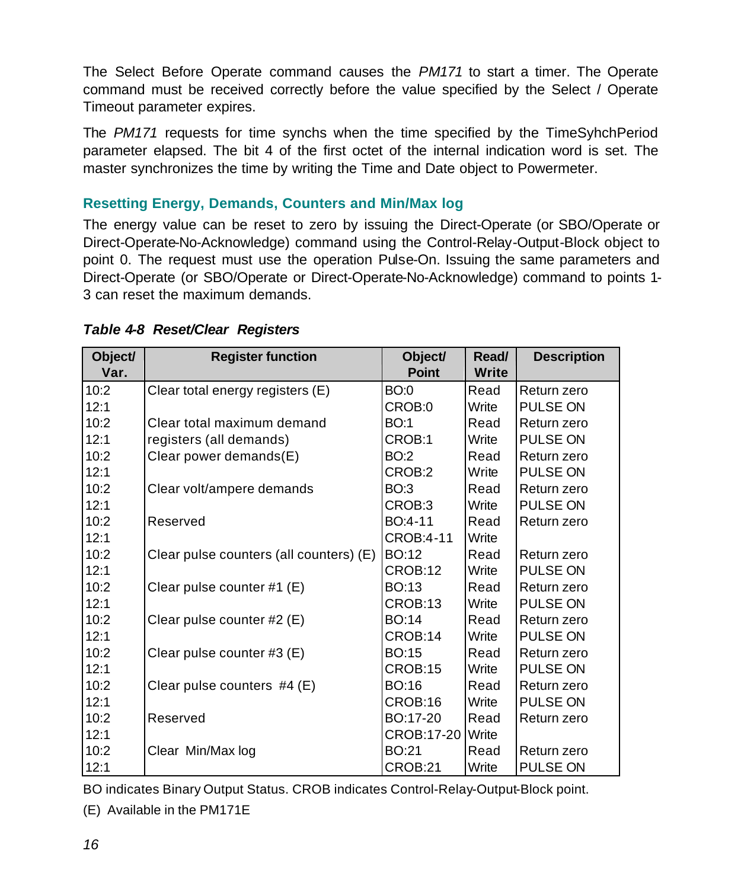<span id="page-16-0"></span>The Select Before Operate command causes the *PM171* to start a timer. The Operate command must be received correctly before the value specified by the Select / Operate Timeout parameter expires.

The *PM171* requests for time synchs when the time specified by the TimeSyhchPeriod parameter elapsed. The bit 4 of the first octet of the internal indication word is set. The master synchronizes the time by writing the Time and Date object to Powermeter.

#### **Resetting Energy, Demands, Counters and Min/Max log**

The energy value can be reset to zero by issuing the Direct-Operate (or SBO/Operate or Direct-Operate-No-Acknowledge) command using the Control-Relay-Output-Block object to point 0. The request must use the operation Pulse-On. Issuing the same parameters and Direct-Operate (or SBO/Operate or Direct-Operate-No-Acknowledge) command to points 1- 3 can reset the maximum demands.

| Object/ | <b>Register function</b>                | Object/      | Read/        | <b>Description</b> |
|---------|-----------------------------------------|--------------|--------------|--------------------|
| Var.    |                                         | <b>Point</b> | <b>Write</b> |                    |
| 10:2    | Clear total energy registers (E)        | BO:0         | Read         | Return zero        |
| 12:1    |                                         | CROB:0       | Write        | PULSE ON           |
| 10:2    | Clear total maximum demand              | <b>BO:1</b>  | Read         | Return zero        |
| 12:1    | registers (all demands)                 | CROB:1       | Write        | PULSE ON           |
| 10:2    | Clear power demands(E)                  | BO:2         | Read         | Return zero        |
| 12:1    |                                         | CROB:2       | Write        | PULSE ON           |
| 10:2    | Clear volt/ampere demands               | <b>BO:3</b>  | Read         | Return zero        |
| 12:1    |                                         | CROB:3       | Write        | PULSE ON           |
| 10:2    | Reserved                                | BO:4-11      | Read         | Return zero        |
| 12:1    |                                         | CROB:4-11    | Write        |                    |
| 10:2    | Clear pulse counters (all counters) (E) | <b>BO:12</b> | Read         | Return zero        |
| 12:1    |                                         | CROB:12      | Write        | PULSE ON           |
| 10:2    | Clear pulse counter #1 (E)              | BO:13        | Read         | Return zero        |
| 12:1    |                                         | CROB:13      | Write        | PULSE ON           |
| 10:2    | Clear pulse counter #2 (E)              | BO:14        | Read         | Return zero        |
| 12:1    |                                         | CROB:14      | Write        | PULSE ON           |
| 10:2    | Clear pulse counter #3 (E)              | <b>BO:15</b> | Read         | Return zero        |
| 12:1    |                                         | CROB:15      | Write        | PULSE ON           |
| 10:2    | Clear pulse counters $#4(E)$            | BO:16        | Read         | Return zero        |
| 12:1    |                                         | CROB:16      | Write        | PULSE ON           |
| 10:2    | Reserved                                | BO:17-20     | Read         | Return zero        |
| 12:1    |                                         | CROB:17-20   | Write        |                    |
| 10:2    | Clear Min/Max log                       | BO:21        | Read         | Return zero        |
| 12:1    |                                         | CROB:21      | Write        | PULSE ON           |

#### *Table 4-8 Reset/Clear Registers*

BO indicates Binary Output Status. CROB indicates Control-Relay-Output-Block point.

(E) Available in the PM171E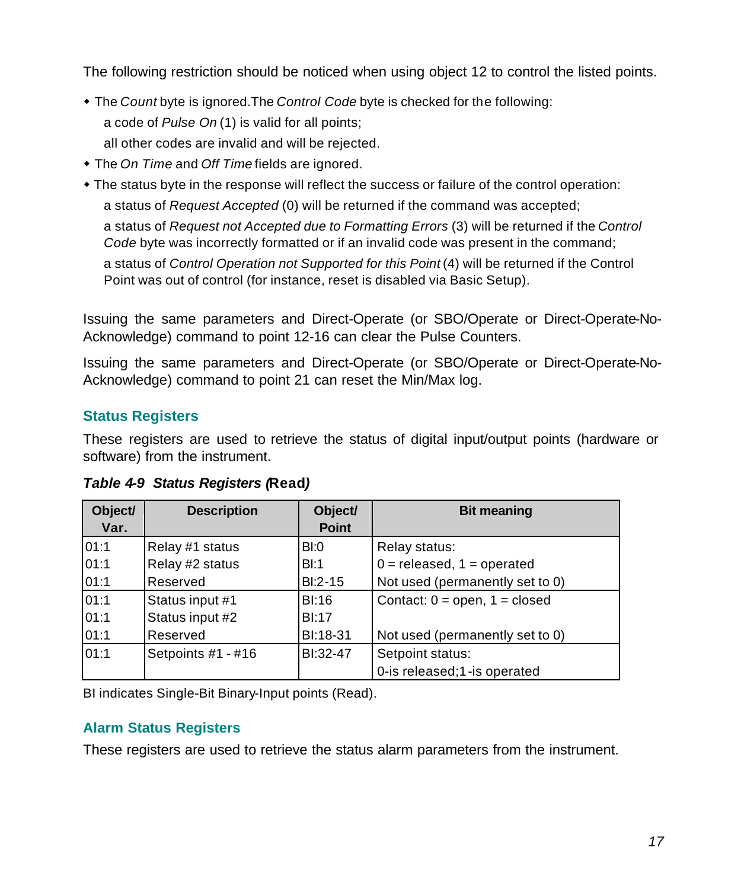<span id="page-17-0"></span>The following restriction should be noticed when using object 12 to control the listed points.

- The *Count* byte is ignored. The *Control Code* byte is checked for the following: a code of *Pulse On* (1) is valid for all points; all other codes are invalid and will be rejected.
- The *On Time* and *Off Time* fields are ignored.
- The status byte in the response will reflect the success or failure of the control operation: a status of *Request Accepted* (0) will be returned if the command was accepted;

a status of *Request not Accepted due to Formatting Errors* (3) will be returned if the *Control Code* byte was incorrectly formatted or if an invalid code was present in the command;

a status of *Control Operation not Supported for this Point* (4) will be returned if the Control Point was out of control (for instance, reset is disabled via Basic Setup).

Issuing the same parameters and Direct-Operate (or SBO/Operate or Direct-Operate-No-Acknowledge) command to point 12-16 can clear the Pulse Counters.

Issuing the same parameters and Direct-Operate (or SBO/Operate or Direct-Operate-No-Acknowledge) command to point 21 can reset the Min/Max log.

#### **Status Registers**

These registers are used to retrieve the status of digital input/output points (hardware or software) from the instrument.

| Object/<br>Var. | <b>Description</b> | Object/<br><b>Point</b> | <b>Bit meaning</b>                |
|-----------------|--------------------|-------------------------|-----------------------------------|
| 01:1            | Relay #1 status    | BI:0                    | Relay status:                     |
| 01:1            | Relay #2 status    | BI:1                    | $0 =$ released, $1 =$ operated    |
| 01:1            | Reserved           | $BI:2-15$               | Not used (permanently set to 0)   |
| 01:1            | Status input #1    | BI:16                   | Contact: $0 =$ open, $1 =$ closed |
| 01:1            | Status input #2    | BI:17                   |                                   |
| 01:1            | Reserved           | BI:18-31                | Not used (permanently set to 0)   |
| 01:1            | Setpoints #1 - #16 | BI:32-47                | Setpoint status:                  |
|                 |                    |                         | 0-is released;1-is operated       |

*Table 4-9 Status Registers (***Read***)*

BI indicates Single-Bit Binary-Input points (Read).

#### **Alarm Status Registers**

These registers are used to retrieve the status alarm parameters from the instrument.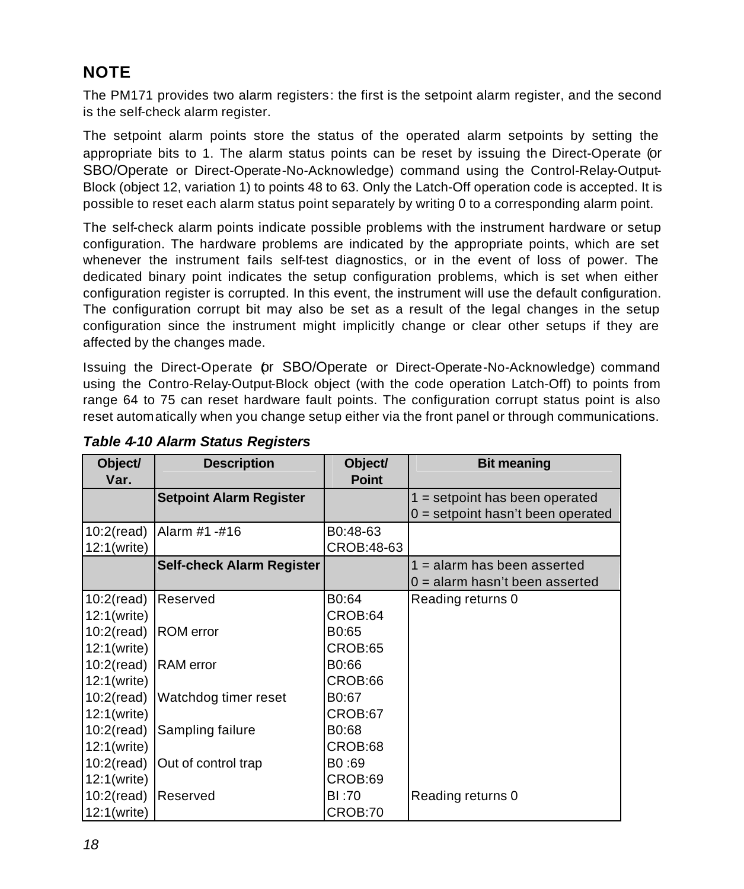#### **NOTE**

The PM171 provides two alarm registers: the first is the setpoint alarm register, and the second is the self-check alarm register.

The setpoint alarm points store the status of the operated alarm setpoints by setting the appropriate bits to 1. The alarm status points can be reset by issuing the Direct-Operate (or SBO/Operate or Direct-Operate-No-Acknowledge) command using the Control-Relay-Output-Block (object 12, variation 1) to points 48 to 63. Only the Latch-Off operation code is accepted. It is possible to reset each alarm status point separately by writing 0 to a corresponding alarm point.

The self-check alarm points indicate possible problems with the instrument hardware or setup configuration. The hardware problems are indicated by the appropriate points, which are set whenever the instrument fails self-test diagnostics, or in the event of loss of power. The dedicated binary point indicates the setup configuration problems, which is set when either configuration register is corrupted. In this event, the instrument will use the default configuration. The configuration corrupt bit may also be set as a result of the legal changes in the setup configuration since the instrument might implicitly change or clear other setups if they are affected by the changes made.

Issuing the Direct-Operate (or SBO/Operate or Direct-Operate-No-Acknowledge) command using the Contro-Relay-Output-Block object (with the code operation Latch-Off) to points from range 64 to 75 can reset hardware fault points. The configuration corrupt status point is also reset automatically when you change setup either via the front panel or through communications.

| Object/<br>Var.      | <b>Description</b>               | Object/<br><b>Point</b> | <b>Bit meaning</b>                  |
|----------------------|----------------------------------|-------------------------|-------------------------------------|
|                      | <b>Setpoint Alarm Register</b>   |                         | $1 =$ setpoint has been operated    |
|                      |                                  |                         | $0 =$ setpoint hasn't been operated |
| $10:2$ (read)        | Alarm #1 -#16                    | B0:48-63                |                                     |
| 12:1(write)          |                                  | CROB:48-63              |                                     |
|                      | <b>Self-check Alarm Register</b> |                         | $1 =$ alarm has been asserted       |
|                      |                                  |                         | $0 =$ alarm hasn't been asserted    |
| $10:2$ (read)        | Reserved                         | B0:64                   | Reading returns 0                   |
| 12:1(write)          |                                  | CROB:64                 |                                     |
| 10:2(read) ROM error |                                  | B0:65                   |                                     |
| 12:1(write)          |                                  | CROB:65                 |                                     |
| 10:2(read) RAM error |                                  | B0:66                   |                                     |
| 12:1(write)          |                                  | CROB:66                 |                                     |
|                      | 10:2(read) Watchdog timer reset  | B0:67                   |                                     |
| 12:1(write)          |                                  | CROB:67                 |                                     |
| $10:2$ (read)        | Sampling failure                 | B0:68                   |                                     |
| 12:1(write)          |                                  | CROB:68                 |                                     |
| $10:2$ (read)        | Out of control trap              | B0:69                   |                                     |
| 12:1(write)          |                                  | CROB:69                 |                                     |
| $10:2$ (read)        | Reserved                         | BI:70                   | Reading returns 0                   |
| 12:1(write)          |                                  | CROB:70                 |                                     |

#### *Table 4-10 Alarm Status Registers*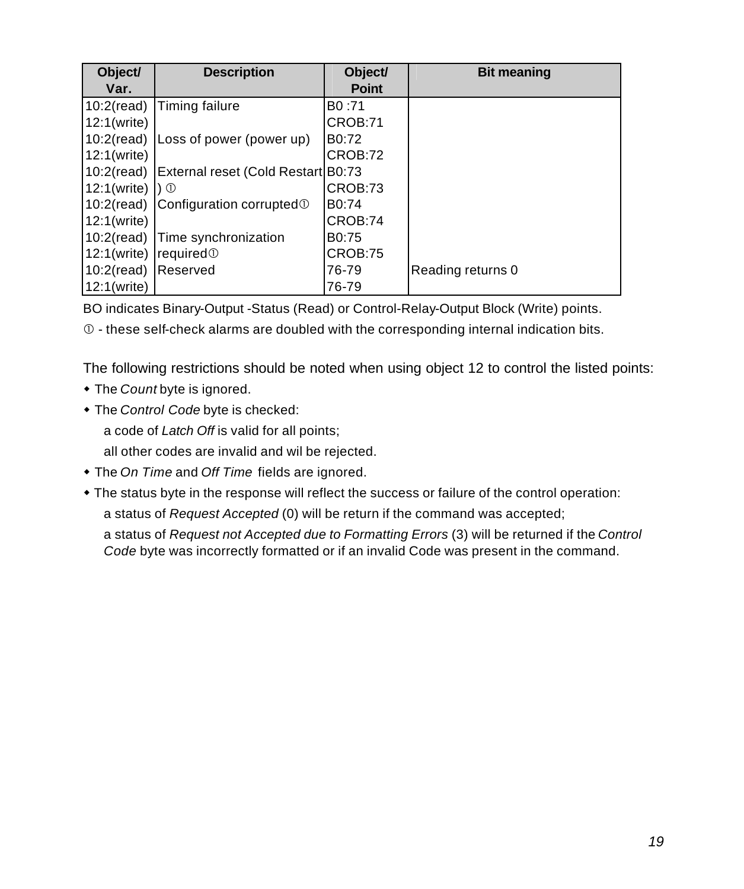| Object/                              | <b>Description</b>                         | Object/            | <b>Bit meaning</b> |
|--------------------------------------|--------------------------------------------|--------------------|--------------------|
| Var.                                 |                                            | <b>Point</b>       |                    |
|                                      | 10:2(read) Timing failure                  | B <sub>0</sub> :71 |                    |
| 12:1(write)                          |                                            | CROB:71            |                    |
|                                      | 10:2(read) Loss of power (power up)        | B <sub>0</sub> :72 |                    |
| 12:1(write)                          |                                            | CROB:72            |                    |
| $10:2$ (read)                        | External reset (Cold Restart B0:73         |                    |                    |
| 12:1(write)                          | $\Box$                                     | CROB:73            |                    |
|                                      | 10:2(read) Configuration corrupted $\odot$ | B0:74              |                    |
| 12:1(write)                          |                                            | CROB:74            |                    |
|                                      | 10:2(read) Time synchronization            | B <sub>0</sub> :75 |                    |
| 12:1(write) $ $ required $\mathbb O$ |                                            | CROB:75            |                    |
| 10:2(read) Reserved                  |                                            | 76-79              | Reading returns 0  |
| 12:1(write)                          |                                            | 76-79              |                    |

BO indicates Binary-Output -Status (Read) or Control-Relay-Output Block (Write) points.

 $<sup>①</sup>$  - these self-check alarms are doubled with the corresponding internal indication bits.</sup>

The following restrictions should be noted when using object 12 to control the listed points:

- The *Count* byte is ignored.
- $\bullet$  The *Control Code* byte is checked:

a code of *Latch Off* is valid for all points;

all other codes are invalid and wil be rejected.

- The *On Time* and *Off Time* fields are ignored.
- The status byte in the response will reflect the success or failure of the control operation:

a status of *Request Accepted* (0) will be return if the command was accepted;

a status of *Request not Accepted due to Formatting Errors* (3) will be returned if the *Control Code* byte was incorrectly formatted or if an invalid Code was present in the command.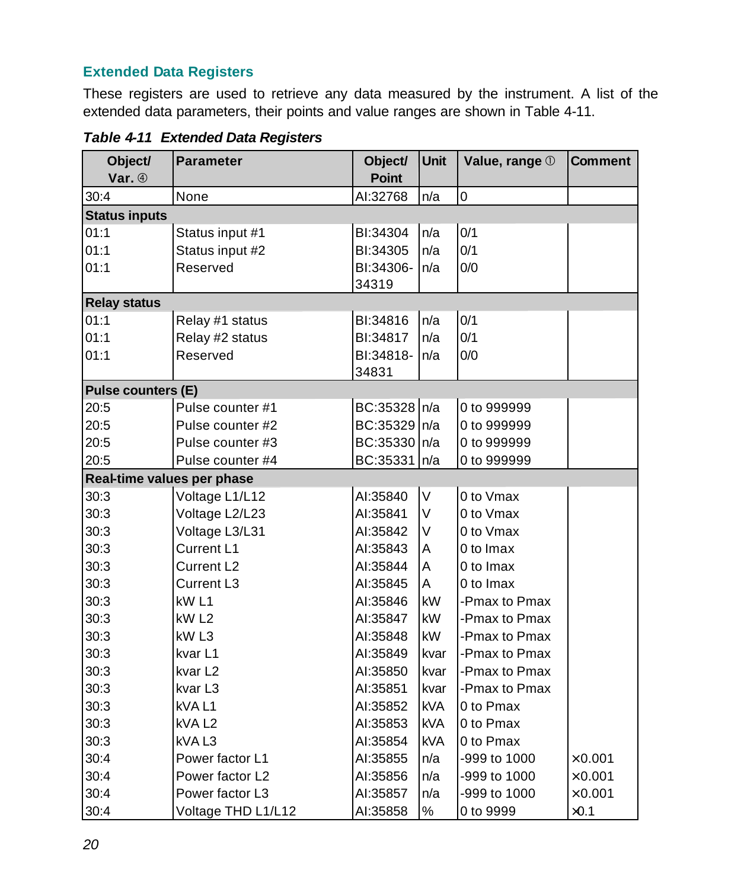#### <span id="page-20-0"></span>**Extended Data Registers**

These registers are used to retrieve any data measured by the instrument. A list of the extended data parameters, their points and value ranges are shown in Table 4-11.

| Object/                    | <b>Parameter</b>       | Object/      | <b>Unit</b> | Value, range 1 | <b>Comment</b> |
|----------------------------|------------------------|--------------|-------------|----------------|----------------|
| Var. 4                     |                        | <b>Point</b> |             |                |                |
| 30:4                       | None                   | Al:32768     | n/a         | 0              |                |
| <b>Status inputs</b>       |                        |              |             |                |                |
| 01:1                       | Status input #1        | BI:34304     | n/a         | 0/1            |                |
| 01:1                       | Status input #2        | BI:34305     | n/a         | 0/1            |                |
| 01:1                       | Reserved               | BI:34306-    | n/a         | 0/0            |                |
|                            |                        | 34319        |             |                |                |
| <b>Relay status</b>        |                        |              |             |                |                |
| 01:1                       | Relay #1 status        | BI:34816     | n/a         | 0/1            |                |
| 01:1                       | Relay #2 status        | BI:34817     | n/a         | 0/1            |                |
| 01:1                       | Reserved               | BI:34818-    | n/a         | 0/0            |                |
|                            |                        | 34831        |             |                |                |
| Pulse counters (E)         |                        |              |             |                |                |
| 20:5                       | Pulse counter #1       | BC:35328 n/a |             | 0 to 999999    |                |
| 20:5                       | Pulse counter #2       | BC:35329 n/a |             | 0 to 999999    |                |
| 20:5                       | Pulse counter #3       | BC:35330 n/a |             | 0 to 999999    |                |
| 20:5                       | Pulse counter #4       | BC:35331     | n/a         | 0 to 999999    |                |
| Real-time values per phase |                        |              |             |                |                |
| 30:3                       | Voltage L1/L12         | AI:35840     | $\sf V$     | 0 to Vmax      |                |
| 30:3                       | Voltage L2/L23         | AI:35841     | $\sf V$     | 0 to Vmax      |                |
| 30:3                       | Voltage L3/L31         | AI:35842     | V           | 0 to Vmax      |                |
| 30:3                       | Current L1             | AI:35843     | Α           | 0 to Imax      |                |
| 30:3                       | Current L <sub>2</sub> | AI:35844     | A           | 0 to Imax      |                |
| 30:3                       | Current L3             | AI:35845     | A           | 0 to Imax      |                |
| 30:3                       | kW <sub>L1</sub>       | AI:35846     | kW          | -Pmax to Pmax  |                |
| 30:3                       | kW <sub>L2</sub>       | AI:35847     | kW          | -Pmax to Pmax  |                |
| 30:3                       | kW <sub>L3</sub>       | AI:35848     | kW          | -Pmax to Pmax  |                |
| 30:3                       | kvar L1                | AI:35849     | kvar        | -Pmax to Pmax  |                |
| 30:3                       | kvar L <sub>2</sub>    | AI:35850     | kvar        | -Pmax to Pmax  |                |
| 30:3                       | kvar L <sub>3</sub>    | AI:35851     | kvar        | -Pmax to Pmax  |                |
| 30:3                       | kVAL1                  | AI:35852     | <b>kVA</b>  | 0 to Pmax      |                |
| 30:3                       | kVA L2                 | AI:35853     | <b>kVA</b>  | 0 to Pmax      |                |
| 30:3                       | kVAL3                  | AI:35854     | <b>kVA</b>  | 0 to Pmax      |                |
| 30:4                       | Power factor L1        | AI:35855     | n/a         | -999 to 1000   | $\times$ 0.001 |
| 30:4                       | Power factor L2        | Al:35856     | n/a         | -999 to 1000   | $\times$ 0.001 |
| 30:4                       | Power factor L3        | Al:35857     | n/a         | -999 to 1000   | $\times 0.001$ |
| 30:4                       | Voltage THD L1/L12     | AI:35858     | $\%$        | 0 to 9999      | $\times 0.1$   |

*Table 4-11 Extended Data Registers*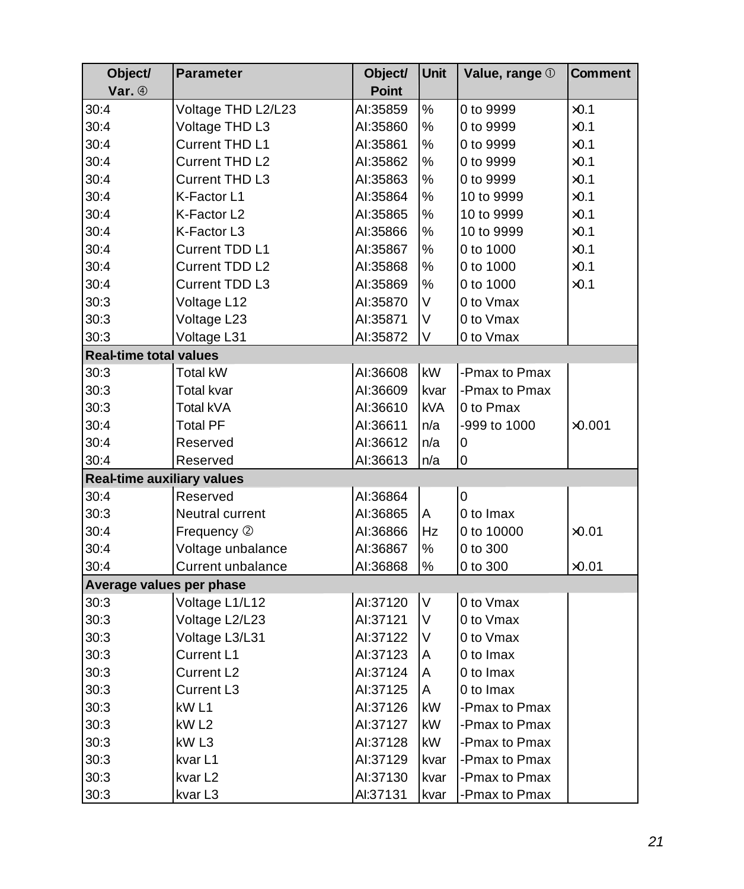| Object/                           | <b>Parameter</b>   | Object/      | <b>Unit</b> | Value, range 1 | <b>Comment</b> |
|-----------------------------------|--------------------|--------------|-------------|----------------|----------------|
| Var. 4                            |                    | <b>Point</b> |             |                |                |
| 30:4                              | Voltage THD L2/L23 | Al:35859     | $\%$        | 0 to 9999      | $\times 0.1$   |
| 30:4                              | Voltage THD L3     | AI:35860     | $\%$        | 0 to 9999      | $\times 0.1$   |
| 30:4                              | Current THD L1     | AI:35861     | $\%$        | 0 to 9999      | $\times 0.1$   |
| 30:4                              | Current THD L2     | Al:35862     | $\%$        | 0 to 9999      | $\times 0.1$   |
| 30:4                              | Current THD L3     | Al:35863     | $\%$        | 0 to 9999      | $\times 0.1$   |
| 30:4                              | K-Factor L1        | AI:35864     | $\%$        | 10 to 9999     | $\times 0.1$   |
| 30:4                              | K-Factor L2        | AI:35865     | %           | 10 to 9999     | $\times 0.1$   |
| 30:4                              | K-Factor L3        | AI:35866     | $\%$        | 10 to 9999     | $\times 0.1$   |
| 30:4                              | Current TDD L1     | Al:35867     | $\%$        | 0 to 1000      | $\times 0.1$   |
| 30:4                              | Current TDD L2     | Al:35868     | $\%$        | 0 to 1000      | $\times 0.1$   |
| 30:4                              | Current TDD L3     | AI:35869     | %           | 0 to 1000      | $\times 0.1$   |
| 30:3                              | Voltage L12        | Al:35870     | V           | 0 to Vmax      |                |
| 30:3                              | Voltage L23        | Al:35871     | $\sf V$     | 0 to Vmax      |                |
| 30:3                              | Voltage L31        | AI:35872     | V           | 0 to Vmax      |                |
| <b>Real-time total values</b>     |                    |              |             |                |                |
| 30:3                              | Total kW           | AI:36608     | kW          | -Pmax to Pmax  |                |
| 30:3                              | Total kvar         | AI:36609     | kvar        | -Pmax to Pmax  |                |
| 30:3                              | Total kVA          | Al:36610     | kVA         | 0 to Pmax      |                |
| 30:4                              | Total PF           | Al:36611     | n/a         | -999 to 1000   | $\times$ 0.001 |
| 30:4                              | Reserved           | Al:36612     | n/a         | 0              |                |
| 30:4                              | Reserved           | Al:36613     | n/a         | 0              |                |
| <b>Real-time auxiliary values</b> |                    |              |             |                |                |
| 30:4                              | Reserved           | Al:36864     |             | 0              |                |
| 30:3                              | Neutral current    | AI:36865     | A           | 0 to Imax      |                |
| 30:4                              | Frequency 2        | AI:36866     | Hz          | 0 to 10000     | $\times$ 0.01  |
| 30:4                              | Voltage unbalance  | Al:36867     | ℅           | 0 to 300       |                |
| 30:4                              | Current unbalance  | AI:36868     | $\%$        | 0 to 300       | $\times$ 0.01  |
| Average values per phase          |                    |              |             |                |                |
| 30:3                              | Voltage L1/L12     | Al:37120     | $\vee$      | 0 to Vmax      |                |
| 30:3                              | Voltage L2/L23     | Al:37121     | $\vee$      | 0 to Vmax      |                |
| 30:3                              | Voltage L3/L31     | AI:37122     | V           | 0 to Vmax      |                |
| 30:3                              | Current L1         | Al:37123     | A           | 0 to Imax      |                |
| 30:3                              | Current L2         | AI:37124     | A           | 0 to Imax      |                |
| 30:3                              | Current L3         | Al:37125     | Α           | 0 to Imax      |                |
| 30:3                              | kW L1              | Al:37126     | kW          | -Pmax to Pmax  |                |
| 30:3                              | kW <sub>L2</sub>   | AI:37127     | kW          | -Pmax to Pmax  |                |
| 30:3                              | kW <sub>L3</sub>   | Al:37128     | <b>kW</b>   | -Pmax to Pmax  |                |
| 30:3                              | kvar L1            | Al:37129     | kvar        | -Pmax to Pmax  |                |
| 30:3                              | kvar L2            | Al:37130     | kvar        | -Pmax to Pmax  |                |
| 30:3                              | kvar L3            | Al:37131     | kvar        | -Pmax to Pmax  |                |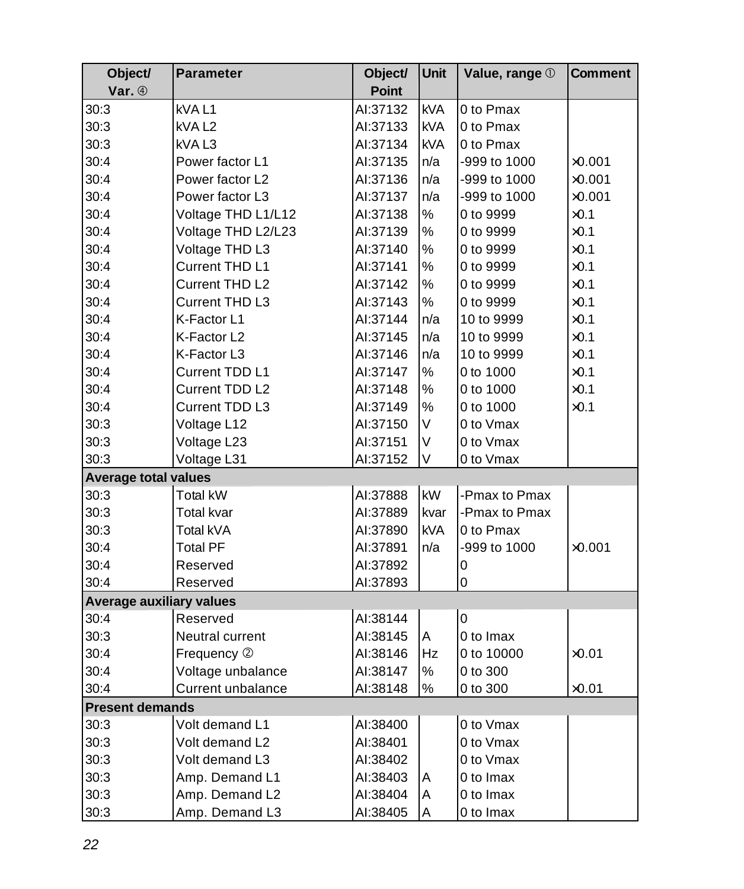| Object/                         | <b>Parameter</b>   | Object/      | Unit       | Value, range 1 | <b>Comment</b> |
|---------------------------------|--------------------|--------------|------------|----------------|----------------|
| Var. 4                          |                    | <b>Point</b> |            |                |                |
| 30:3                            | kVAL1              | Al:37132     | <b>kVA</b> | 0 to Pmax      |                |
| 30:3                            | kVAL <sub>2</sub>  | Al:37133     | <b>kVA</b> | 0 to Pmax      |                |
| 30:3                            | kVAL3              | Al:37134     | <b>kVA</b> | 0 to Pmax      |                |
| 30:4                            | Power factor L1    | Al:37135     | n/a        | -999 to 1000   | $\times$ 0.001 |
| 30:4                            | Power factor L2    | Al:37136     | n/a        | -999 to 1000   | $\times$ 0.001 |
| 30:4                            | Power factor L3    | Al:37137     | n/a        | -999 to 1000   | $\times$ 0.001 |
| 30:4                            | Voltage THD L1/L12 | Al:37138     | $\%$       | 0 to 9999      | $\times 0.1$   |
| 30:4                            | Voltage THD L2/L23 | Al:37139     | $\%$       | 0 to 9999      | $\times 0.1$   |
| 30:4                            | Voltage THD L3     | Al:37140     | %          | 0 to 9999      | $\times 0.1$   |
| 30:4                            | Current THD L1     | Al:37141     | $\%$       | 0 to 9999      | $\times 0.1$   |
| 30:4                            | Current THD L2     | Al:37142     | $\%$       | 0 to 9999      | $\times 0.1$   |
| 30:4                            | Current THD L3     | Al:37143     | ℅          | 0 to 9999      | $\times 0.1$   |
| 30:4                            | K-Factor L1        | Al:37144     | n/a        | 10 to 9999     | $\times 0.1$   |
| 30:4                            | K-Factor L2        | Al:37145     | n/a        | 10 to 9999     | $\times 0.1$   |
| 30:4                            | K-Factor L3        | Al:37146     | n/a        | 10 to 9999     | $\times 0.1$   |
| 30:4                            | Current TDD L1     | AI:37147     | %          | 0 to 1000      | $\times 0.1$   |
| 30:4                            | Current TDD L2     | Al:37148     | ℅          | 0 to 1000      | $\times 0.1$   |
| 30:4                            | Current TDD L3     | Al:37149     | $\%$       | 0 to 1000      | $\times 0.1$   |
| 30:3                            | Voltage L12        | Al:37150     | V          | 0 to Vmax      |                |
| 30:3                            | Voltage L23        | Al:37151     | V          | 0 to Vmax      |                |
| 30:3                            | Voltage L31        | Al:37152     | V          | 0 to Vmax      |                |
| <b>Average total values</b>     |                    |              |            |                |                |
| 30:3                            | <b>Total kW</b>    | Al:37888     | kW         | -Pmax to Pmax  |                |
| 30:3                            | Total kvar         | Al:37889     | kvar       | -Pmax to Pmax  |                |
| 30:3                            | Total kVA          | AI:37890     | <b>kVA</b> | 0 to Pmax      |                |
| 30:4                            | <b>Total PF</b>    | Al:37891     | n/a        | -999 to 1000   | $\times$ 0.001 |
| 30:4                            | Reserved           | Al:37892     |            | 0              |                |
| 30:4                            | Reserved           | AI:37893     |            | 0              |                |
| <b>Average auxiliary values</b> |                    |              |            |                |                |
| 30:4                            | Reserved           | Al:38144     |            | $\overline{0}$ |                |
| 30:3                            | Neutral current    | Al:38145     | A          | 0 to Imax      |                |
| 30:4                            | Frequency 2        | Al:38146     | Hz         | 0 to 10000     | $\times$ 0.01  |
| 30:4                            | Voltage unbalance  | Al:38147     | $\%$       | 0 to 300       |                |
| 30:4                            | Current unbalance  | Al:38148     | %          | 0 to 300       | $\times 0.01$  |
| <b>Present demands</b>          |                    |              |            |                |                |
| 30:3                            | Volt demand L1     | AI:38400     |            | 0 to Vmax      |                |
| 30:3                            | Volt demand L2     | Al:38401     |            | 0 to Vmax      |                |
| 30:3                            | Volt demand L3     | Al:38402     |            | 0 to Vmax      |                |
| 30:3                            | Amp. Demand L1     | AI:38403     | Α          | 0 to Imax      |                |
| 30:3                            | Amp. Demand L2     | AI:38404     | Α          | 0 to Imax      |                |
| 30:3                            | Amp. Demand L3     | Al:38405     | A          | 0 to Imax      |                |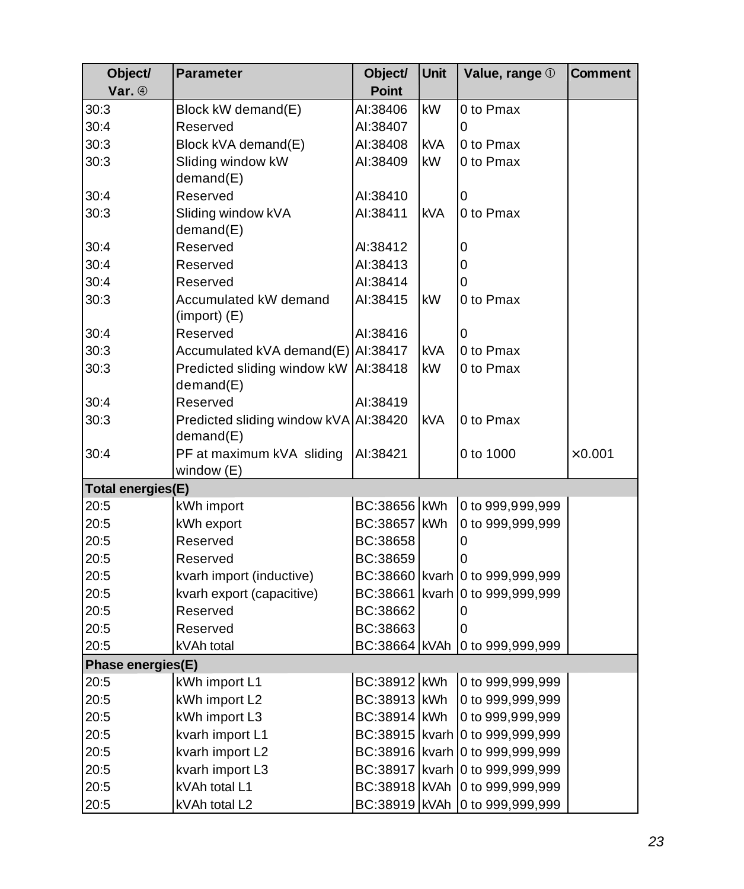| Object/                  | <b>Parameter</b>                          | Object/       | <b>Unit</b> | Value, range 1                      | Comment        |
|--------------------------|-------------------------------------------|---------------|-------------|-------------------------------------|----------------|
| Var. 4                   |                                           | <b>Point</b>  |             |                                     |                |
| 30:3                     | Block kW demand(E)                        | AI:38406      | <b>kW</b>   | 0 to Pmax                           |                |
| 30:4                     | Reserved                                  | AI:38407      |             | 0                                   |                |
| 30:3                     | Block kVA demand(E)                       | AI:38408      | <b>kVA</b>  | 0 to Pmax                           |                |
| 30:3                     | Sliding window kW                         | AI:38409      | kW          | 0 to Pmax                           |                |
|                          | demand(E)                                 |               |             |                                     |                |
| 30:4                     | Reserved                                  | Al:38410      |             | 0                                   |                |
| 30:3                     | Sliding window kVA                        | Al:38411      | <b>kVA</b>  | 0 to Pmax                           |                |
|                          | demand(E)                                 |               |             |                                     |                |
| 30:4                     | Reserved                                  | AI:38412      |             | 0                                   |                |
| 30:4                     | Reserved                                  | Al:38413      |             | 0                                   |                |
| 30:4                     | Reserved                                  | Al:38414      |             | 0                                   |                |
| 30:3                     | Accumulated kW demand<br>$(import)$ $(E)$ | Al:38415      | <b>kW</b>   | 0 to Pmax                           |                |
| 30:4                     | Reserved                                  | AI:38416      |             | 0                                   |                |
| 30:3                     | Accumulated kVA demand(E) Al:38417        |               | <b>kVA</b>  | 0 to Pmax                           |                |
| 30:3                     | Predicted sliding window kW   AI:38418    |               | <b>kW</b>   | 0 to Pmax                           |                |
|                          | demand(E)                                 |               |             |                                     |                |
| 30:4                     | Reserved                                  | Al:38419      |             |                                     |                |
| 30:3                     | Predicted sliding window kVA AI:38420     |               | <b>kVA</b>  | 0 to Pmax                           |                |
|                          | demand(E)                                 |               |             |                                     |                |
| 30:4                     | PF at maximum kVA sliding                 | AI:38421      |             | 0 to 1000                           | $\times$ 0.001 |
|                          | window (E)                                |               |             |                                     |                |
| <b>Total energies(E)</b> |                                           |               |             |                                     |                |
| 20:5                     | kWh import                                | BC:38656 KWh  |             | 0 to 999,999,999                    |                |
| 20:5                     | kWh export                                | BC:38657 KWh  |             | 0 to 999,999,999                    |                |
| 20:5                     | Reserved                                  | BC:38658      |             | 0                                   |                |
| 20:5                     | Reserved                                  | BC:38659      |             | 0                                   |                |
| 20:5                     | kvarh import (inductive)                  |               |             | BC:38660 kvarh 0 to 999,999,999     |                |
| 20:5                     | kvarh export (capacitive)                 | BC:38661      |             | kvarh 0 to 999,999,999              |                |
| 20:5                     | Reserved                                  | BC:38662      |             | 0                                   |                |
| 20:5                     | Reserved                                  | BC:38663      |             | 0                                   |                |
| 20:5                     | kVAh total                                |               |             | BC:38664 KVAh 0 to 999,999,999      |                |
| Phase energies(E)        |                                           |               |             |                                     |                |
| 20:5                     | kWh import L1                             | BC:38912 KWh  |             | 0 to 999,999,999                    |                |
| 20:5                     | kWh import L2                             | BC:38913 KWh  |             | 0 to 999,999,999                    |                |
| 20:5                     | kWh import L3                             | BC:38914 KWh  |             | 0 to 999,999,999                    |                |
| 20:5                     | kvarh import L1                           |               |             | BC:38915   kvarh   0 to 999,999,999 |                |
| 20:5                     | kvarh import L2                           |               |             | BC:38916 kvarh 0 to 999,999,999     |                |
| 20:5                     | kvarh import L3                           |               |             | BC:38917 kvarh 0 to 999,999,999     |                |
| 20:5                     | kVAh total L1                             | BC:38918 KVAh |             | 0 to 999,999,999                    |                |
| 20:5                     | kVAh total L2                             |               |             | BC:38919 KVAh 0 to 999,999,999      |                |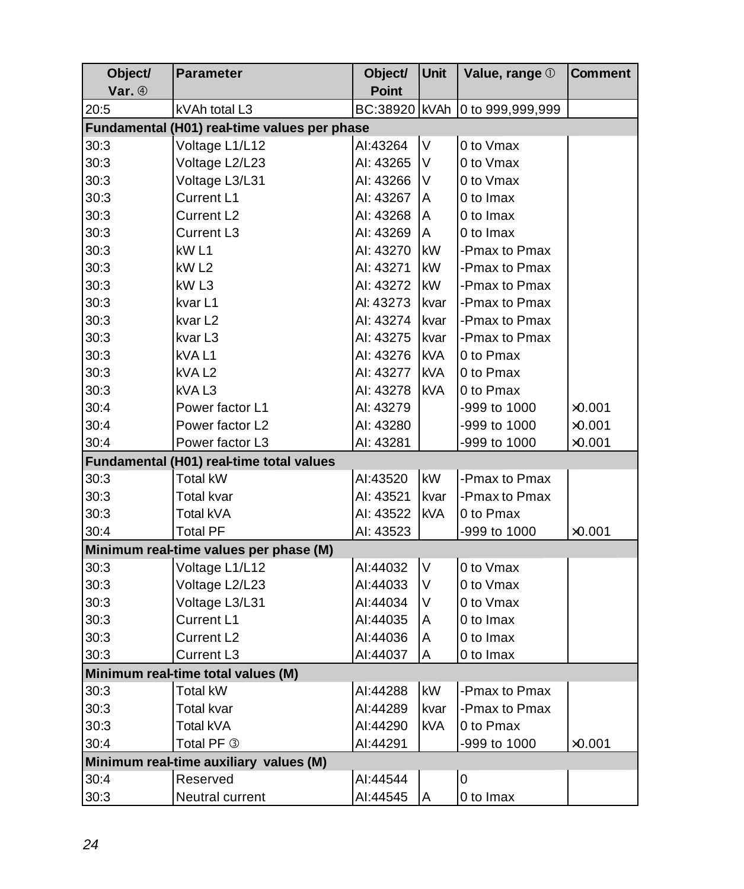| Object/ | <b>Parameter</b>                             | Object/      | <b>Unit</b> | Value, range 1   | <b>Comment</b> |
|---------|----------------------------------------------|--------------|-------------|------------------|----------------|
| Var. 4  |                                              | <b>Point</b> |             |                  |                |
| 20:5    | kVAh total L3                                | BC:38920     | kVAh        | 0 to 999,999,999 |                |
|         | Fundamental (H01) real-time values per phase |              |             |                  |                |
| 30:3    | Voltage L1/L12                               | AI:43264     | V           | 0 to Vmax        |                |
| 30:3    | Voltage L2/L23                               | AI: 43265    | V           | 0 to Vmax        |                |
| 30:3    | Voltage L3/L31                               | AI: 43266    | V           | 0 to Vmax        |                |
| 30:3    | Current L1                                   | AI: 43267    | A           | 0 to Imax        |                |
| 30:3    | Current L2                                   | AI: 43268    | A           | 0 to Imax        |                |
| 30:3    | Current L3                                   | AI: 43269    | A           | 0 to Imax        |                |
| 30:3    | kW <sub>L1</sub>                             | AI: 43270    | kW          | -Pmax to Pmax    |                |
| 30:3    | kW <sub>L2</sub>                             | AI: 43271    | kW          | -Pmax to Pmax    |                |
| 30:3    | kW <sub>L3</sub>                             | AI: 43272    | kW          | -Pmax to Pmax    |                |
| 30:3    | kvar L1                                      | Al: 43273    | kvar        | -Pmax to Pmax    |                |
| 30:3    | kvar L2                                      | AI: 43274    | kvar        | -Pmax to Pmax    |                |
| 30:3    | kvar L3                                      | AI: 43275    | kvar        | -Pmax to Pmax    |                |
| 30:3    | kVA L1                                       | AI: 43276    | kVA         | 0 to Pmax        |                |
| 30:3    | kVAL <sub>2</sub>                            | Al: 43277    | kVA         | 0 to Pmax        |                |
| 30:3    | kVAL3                                        | AI: 43278    | <b>kVA</b>  | 0 to Pmax        |                |
| 30:4    | Power factor L1                              | AI: 43279    |             | -999 to 1000     | $\times$ 0.001 |
| 30:4    | Power factor L2                              | AI: 43280    |             | -999 to 1000     | $\times$ 0.001 |
| 30:4    | Power factor L3                              | AI: 43281    |             | -999 to 1000     | $\times 0.001$ |
|         | Fundamental (H01) real-time total values     |              |             |                  |                |
| 30:3    | Total kW                                     | AI:43520     | kW          | -Pmax to Pmax    |                |
| 30:3    | Total kvar                                   | AI: 43521    | kvar        | -Pmax to Pmax    |                |
| 30:3    | Total kVA                                    | AI: 43522    | <b>kVA</b>  | 0 to Pmax        |                |
| 30:4    | <b>Total PF</b>                              | AI: 43523    |             | -999 to 1000     | $\times$ 0.001 |
|         | Minimum real-time values per phase (M)       |              |             |                  |                |
| 30:3    | Voltage L1/L12                               | AI:44032     | $\vee$      | 0 to Vmax        |                |
| 30:3    | Voltage L2/L23                               | AI:44033     | $\vee$      | 0 to Vmax        |                |
| 30:3    | Voltage L3/L31                               | AI:44034     | V           | 0 to Vmax        |                |
| 30:3    | Current L1                                   | Al:44035     | A           | 0 to Imax        |                |
| 30:3    | Current L2                                   | AI:44036     | Α           | 0 to Imax        |                |
| 30:3    | Current L3                                   | AI:44037     | A           | 0 to Imax        |                |
|         | Minimum real-time total values (M)           |              |             |                  |                |
| 30:3    | Total kW                                     | AI:44288     | kW          | -Pmax to Pmax    |                |
| 30:3    | <b>Total kvar</b>                            | AI:44289     | kvar        | -Pmax to Pmax    |                |
| 30:3    | Total kVA                                    | AI:44290     | kVA         | 0 to Pmax        |                |
| 30:4    | Total PF 3                                   | Al:44291     |             | -999 to 1000     | $\times 0.001$ |
|         | Minimum real-time auxiliary values (M)       |              |             |                  |                |
| 30:4    | Reserved                                     | AI:44544     |             | 0                |                |
| 30:3    | Neutral current                              | AI:44545     | A           | 0 to Imax        |                |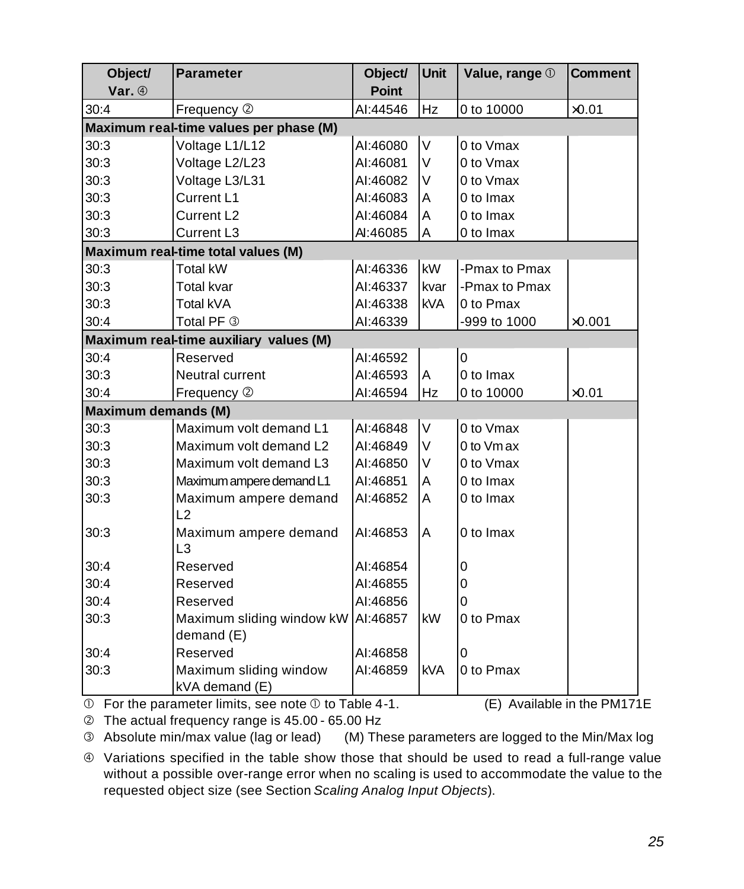| Object/<br>Var. 4          | <b>Parameter</b>                                 | Object/<br><b>Point</b> | <b>Unit</b> | Value, range 1 | <b>Comment</b> |
|----------------------------|--------------------------------------------------|-------------------------|-------------|----------------|----------------|
| 30:4                       | Frequency 2                                      | AI:44546                | Hz          | 0 to 10000     | $\times 0.01$  |
|                            | Maximum real-time values per phase (M)           |                         |             |                |                |
| 30:3                       | Voltage L1/L12                                   | AI:46080                | $\vee$      | 0 to Vmax      |                |
| 30:3                       | Voltage L2/L23                                   | AI:46081                | $\vee$      | 0 to Vmax      |                |
| 30:3                       | Voltage L3/L31                                   | AI:46082                | V           | 0 to Vmax      |                |
| 30:3                       | Current L1                                       | AI:46083                | Α           | 0 to Imax      |                |
| 30:3                       | Current L <sub>2</sub>                           | AI:46084                | Α           | 0 to Imax      |                |
| 30:3                       | Current L3                                       | AI:46085                | Α           | 0 to Imax      |                |
|                            | Maximum real-time total values (M)               |                         |             |                |                |
| 30:3                       | <b>Total kW</b>                                  | AI:46336                | kW          | -Pmax to Pmax  |                |
| 30:3                       | <b>Total kvar</b>                                | AI:46337                | kvar        | -Pmax to Pmax  |                |
| 30:3                       | Total kVA                                        | AI:46338                | <b>kVA</b>  | 0 to Pmax      |                |
| 30:4                       | Total PF 3                                       | AI:46339                |             | -999 to 1000   | $\times$ 0.001 |
|                            | Maximum real-time auxiliary values (M)           |                         |             |                |                |
| 30:4                       | Reserved                                         | AI:46592                |             | $\overline{0}$ |                |
| 30:3                       | Neutral current                                  | AI:46593                | A           | 0 to Imax      |                |
| 30:4                       | Frequency 2                                      | AI:46594                | Hz          | 0 to 10000     | $\times 0.01$  |
| <b>Maximum demands (M)</b> |                                                  |                         |             |                |                |
| 30:3                       | Maximum volt demand L1                           | AI:46848                | V           | 0 to Vmax      |                |
| 30:3                       | Maximum volt demand L2                           | AI:46849                | V           | 0 to Vm ax     |                |
| 30:3                       | Maximum volt demand L3                           | AI:46850                | V           | 0 to Vmax      |                |
| 30:3                       | Maximum ampere demand L1                         | AI:46851                | A           | 0 to Imax      |                |
| 30:3                       | Maximum ampere demand                            | AI:46852                | A           | 0 to Imax      |                |
|                            | L2                                               |                         |             |                |                |
| 30:3                       | Maximum ampere demand<br>L3                      | AI:46853                | A           | 0 to Imax      |                |
| 30:4                       | Reserved                                         | AI:46854                |             | 0              |                |
| 30:4                       | Reserved                                         | AI:46855                |             | $\mathbf 0$    |                |
| 30:4                       | Reserved                                         | AI:46856                |             | $\Omega$       |                |
| 30:3                       | Maximum sliding window kW AI:46857<br>demand (E) |                         | kW          | 0 to Pmax      |                |
| 30:4                       | Reserved                                         | AI:46858                |             | 0              |                |
| 30:3                       | Maximum sliding window<br>kVA demand (E)         | AI:46859                | <b>kVA</b>  | 0 to Pmax      |                |

 $\Phi$  For the parameter limits, see note  $\Phi$  to Table 4-1. (E) Available in the PM171E

Ç The actual frequency range is 45.00 - 65.00 Hz

É Absolute min/max value (lag or lead) (M) These parameters are logged to the Min/Max log

Ñ Variations specified in the table show those that should be used to read a full-range value without a possible over-range error when no scaling is used to accommodate the value to the requested object size (see Section *Scaling Analog Input Objects*).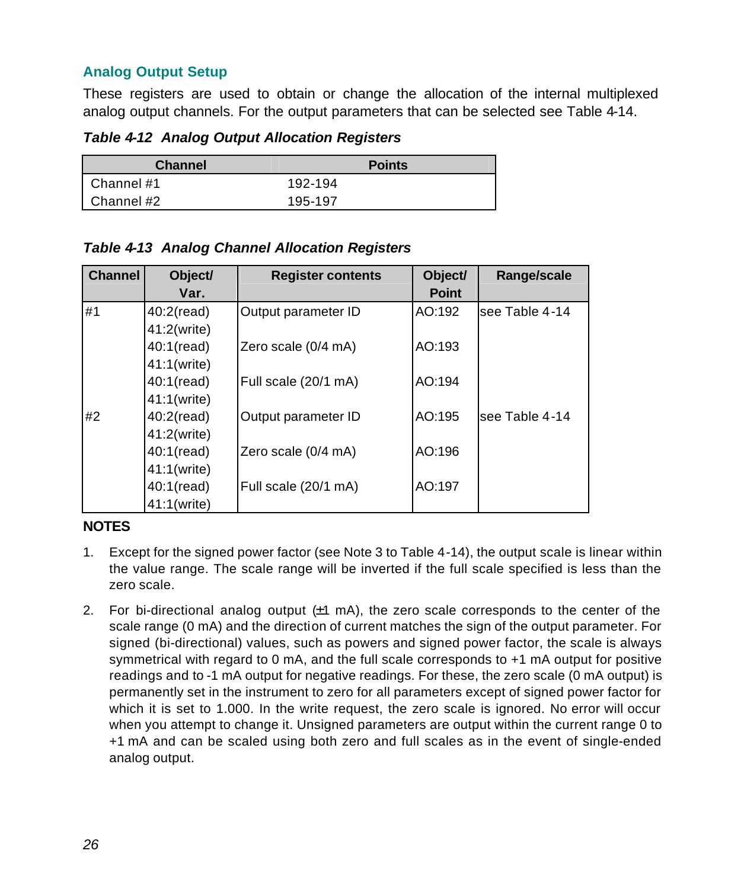#### <span id="page-26-0"></span>**Analog Output Setup**

These registers are used to obtain or change the allocation of the internal multiplexed analog output channels. For the output parameters that can be selected see Table 4-14.

*Table 4-12 Analog Output Allocation Registers*

| <b>Channel</b> | <b>Points</b> |
|----------------|---------------|
| Channel #1     | 192-194       |
| Channel #2     | 195-197       |

*Table 4-13 Analog Channel Allocation Registers*

| <b>Channel</b> | Object/<br>Var. | <b>Register contents</b> | Object/<br><b>Point</b> | Range/scale    |
|----------------|-----------------|--------------------------|-------------------------|----------------|
| #1             | $40:2$ (read)   | Output parameter ID      | AO:192                  | see Table 4-14 |
|                | 41:2(write)     |                          |                         |                |
|                | $40:1$ (read)   | Zero scale (0/4 mA)      | AO:193                  |                |
|                | 41:1(write)     |                          |                         |                |
|                | $40:1$ (read)   | Full scale (20/1 mA)     | AO:194                  |                |
|                | 41:1(write)     |                          |                         |                |
| #2             | $40:2$ (read)   | Output parameter ID      | AO:195                  | see Table 4-14 |
|                | 41:2(write)     |                          |                         |                |
|                | $40:1$ (read)   | Zero scale (0/4 mA)      | AO:196                  |                |
|                | 41:1(write)     |                          |                         |                |
|                | $40:1$ (read)   | Full scale (20/1 mA)     | AO:197                  |                |
|                | 41:1(write)     |                          |                         |                |

#### **NOTES**

- 1. Except for the signed power factor (see Note 3 to Table 4-14), the output scale is linear within the value range. The scale range will be inverted if the full scale specified is less than the zero scale.
- 2. For bi-directional analog output  $(±1)$  mA), the zero scale corresponds to the center of the scale range (0 mA) and the direction of current matches the sign of the output parameter. For signed (bi-directional) values, such as powers and signed power factor, the scale is always symmetrical with regard to 0 mA, and the full scale corresponds to +1 mA output for positive readings and to -1 mA output for negative readings. For these, the zero scale (0 mA output) is permanently set in the instrument to zero for all parameters except of signed power factor for which it is set to 1.000. In the write request, the zero scale is ignored. No error will occur when you attempt to change it. Unsigned parameters are output within the current range 0 to +1 mA and can be scaled using both zero and full scales as in the event of single-ended analog output.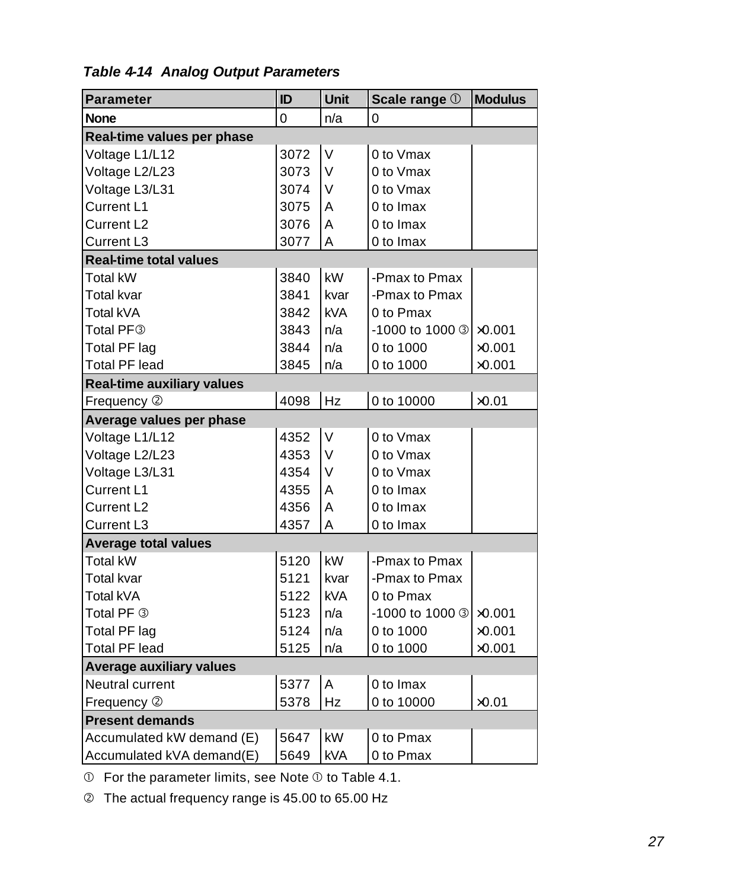| <b>Parameter</b>                  | ID   | <b>Unit</b> | Scale range 1                    | <b>Modulus</b> |
|-----------------------------------|------|-------------|----------------------------------|----------------|
| <b>None</b>                       | 0    | n/a         | 0                                |                |
| Real-time values per phase        |      |             |                                  |                |
| Voltage L1/L12                    | 3072 | V           | 0 to Vmax                        |                |
| Voltage L2/L23                    | 3073 | V           | 0 to Vmax                        |                |
| Voltage L3/L31                    | 3074 | V           | 0 to Vmax                        |                |
| Current L1                        | 3075 | A           | 0 to Imax                        |                |
| Current L2                        | 3076 | A           | 0 to Imax                        |                |
| Current L3                        | 3077 | A           | 0 to Imax                        |                |
| <b>Real-time total values</b>     |      |             |                                  |                |
| Total kW                          | 3840 | kW          | -Pmax to Pmax                    |                |
| Total kvar                        | 3841 | kvar        | -Pmax to Pmax                    |                |
| Total kVA                         | 3842 | <b>kVA</b>  | 0 to Pmax                        |                |
| Total PF <sup>3</sup>             | 3843 | n/a         | -1000 to 1000 3 x0.001           |                |
| Total PF lag                      | 3844 | n/a         | 0 to 1000                        | $\times$ 0.001 |
| <b>Total PF lead</b>              | 3845 | n/a         | 0 to 1000                        | $\times 0.001$ |
| <b>Real-time auxiliary values</b> |      |             |                                  |                |
| Frequency 2                       | 4098 | Hz          | 0 to 10000                       | $\times 0.01$  |
| Average values per phase          |      |             |                                  |                |
| Voltage L1/L12                    | 4352 | $\vee$      | 0 to Vmax                        |                |
| Voltage L2/L23                    | 4353 | V           | 0 to Vmax                        |                |
| Voltage L3/L31                    | 4354 | V           | 0 to Vmax                        |                |
| Current L1                        | 4355 | A           | 0 to Imax                        |                |
| Current L2                        | 4356 | A           | 0 to Imax                        |                |
| Current L3                        | 4357 | Α           | 0 to Imax                        |                |
| <b>Average total values</b>       |      |             |                                  |                |
| <b>Total kW</b>                   | 5120 | kW          | -Pmax to Pmax                    |                |
| <b>Total kvar</b>                 | 5121 | kvar        | -Pmax to Pmax                    |                |
| Total kVA                         | 5122 | <b>kVA</b>  | 0 to Pmax                        |                |
| Total PF 3                        | 5123 | n/a         | $-1000$ to 1000 3 $\times$ 0.001 |                |
| Total PF lag                      | 5124 | n/a         | 0 to 1000                        | $\times$ 0.001 |
| <b>Total PF lead</b>              | 5125 | n/a         | 0 to 1000                        | $\times$ 0.001 |
| <b>Average auxiliary values</b>   |      |             |                                  |                |
| Neutral current                   | 5377 | A           | 0 to Imax                        |                |
| Frequency 2                       | 5378 | Hz          | 0 to 10000                       | $\times$ 0.01  |
| <b>Present demands</b>            |      |             |                                  |                |
| Accumulated kW demand (E)         | 5647 | kW          | 0 to Pmax                        |                |
| Accumulated kVA demand(E)         | 5649 | <b>kVA</b>  | 0 to Pmax                        |                |

 $\Phi$  For the parameter limits, see Note  $\Phi$  to Table 4.1.

Ç The actual frequency range is 45.00 to 65.00 Hz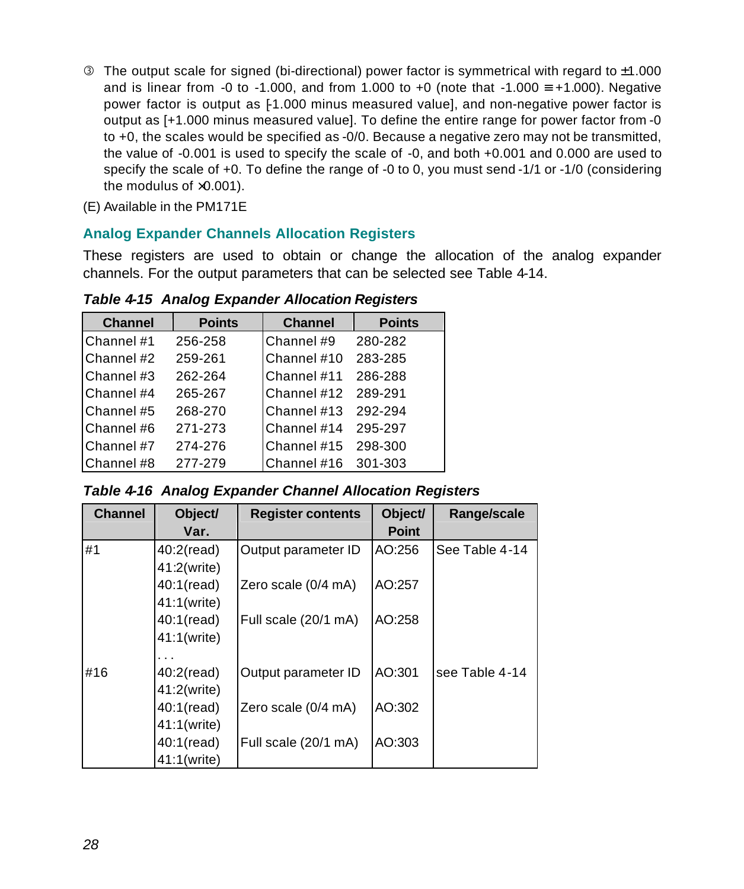- <span id="page-28-0"></span> $\circ$  The output scale for signed (bi-directional) power factor is symmetrical with regard to  $\pm 1.000$ and is linear from -0 to -1.000, and from 1.000 to +0 (note that -1.000  $\equiv$  +1.000). Negative power factor is output as [-1.000 minus measured value], and non-negative power factor is output as [+1.000 minus measured value]. To define the entire range for power factor from -0 to +0, the scales would be specified as -0/0. Because a negative zero may not be transmitted, the value of -0.001 is used to specify the scale of -0, and both +0.001 and 0.000 are used to specify the scale of +0. To define the range of -0 to 0, you must send -1/1 or -1/0 (considering the modulus of  $\times$ 0.001).
- (E) Available in the PM171E

#### **Analog Expander Channels Allocation Registers**

These registers are used to obtain or change the allocation of the analog expander channels. For the output parameters that can be selected see Table 4-14.

*Table 4-15 Analog Expander Allocation Registers* 

| <b>Channel</b> | <b>Points</b> | <b>Channel</b> | <b>Points</b> |
|----------------|---------------|----------------|---------------|
| Channel #1     | 256-258       | Channel #9     | 280-282       |
| Channel #2     | 259-261       | Channel #10    | 283-285       |
| Channel #3     | 262-264       | Channel #11    | 286-288       |
| Channel #4     | 265-267       | Channel #12    | 289-291       |
| Channel #5     | 268-270       | Channel #13    | 292-294       |
| Channel#6      | 271-273       | Channel #14    | 295-297       |
| Channel #7     | 274-276       | Channel #15    | 298-300       |
| Channel #8     | 277-279       | Channel #16    | 301-303       |

*Table 4-16 Analog Expander Channel Allocation Registers*

| <b>Channel</b> | Object/       | <b>Register contents</b> | Object/      | Range/scale    |
|----------------|---------------|--------------------------|--------------|----------------|
|                | Var.          |                          | <b>Point</b> |                |
| #1             | $40:2$ (read) | Output parameter ID      | AO:256       | See Table 4-14 |
|                | 41:2(write)   |                          |              |                |
|                | 40:1(read)    | Zero scale (0/4 mA)      | AO:257       |                |
|                | 41:1(write)   |                          |              |                |
|                | 40:1(read)    | Full scale (20/1 mA)     | AO:258       |                |
|                | 41:1(write)   |                          |              |                |
|                |               |                          |              |                |
| #16            | $40:2$ (read) | Output parameter ID      | AO:301       | see Table 4-14 |
|                | 41:2(write)   |                          |              |                |
|                | 40:1(read)    | Zero scale (0/4 mA)      | AO:302       |                |
|                | 41:1(write)   |                          |              |                |
|                | 40:1(read)    | Full scale (20/1 mA)     | AO:303       |                |
|                | 41:1(write)   |                          |              |                |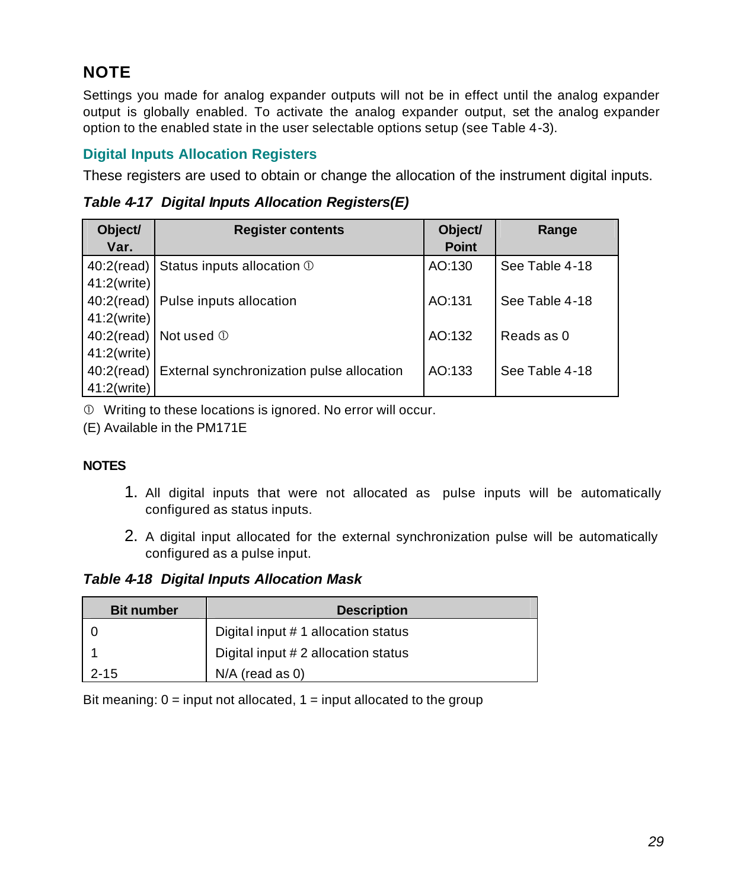#### <span id="page-29-0"></span>**NOTE**

Settings you made for analog expander outputs will not be in effect until the analog expander output is globally enabled. To activate the analog expander output, set the analog expander option to the enabled state in the user selectable options setup (see Table 4-3).

#### **Digital Inputs Allocation Registers**

These registers are used to obtain or change the allocation of the instrument digital inputs.

*Table 4-17 Digital Inputs Allocation Registers(E)*

| Object/<br>Var. | <b>Register contents</b>                  | Object/<br><b>Point</b> | Range          |
|-----------------|-------------------------------------------|-------------------------|----------------|
| $40:2$ (read)   | Status inputs allocation 1                | AO:130                  | See Table 4-18 |
| 41:2(write)     |                                           |                         |                |
| $40:2$ (read)   | Pulse inputs allocation                   | AO:131                  | See Table 4-18 |
| 41:2(write)     |                                           |                         |                |
|                 | 40:2(read) Not used $\odot$               | AO:132                  | Reads as 0     |
| 41:2(write)     |                                           |                         |                |
| $40:2$ (read)   | External synchronization pulse allocation | AO:133                  | See Table 4-18 |
| 41:2(write)     |                                           |                         |                |

Å Writing to these locations is ignored. No error will occur.

(E) Available in the PM171E

#### **NOTES**

- 1. All digital inputs that were not allocated as pulse inputs will be automatically configured as status inputs.
- 2. A digital input allocated for the external synchronization pulse will be automatically configured as a pulse input.

*Table 4-18 Digital Inputs Allocation Mask*

| <b>Bit number</b> | <b>Description</b>                  |
|-------------------|-------------------------------------|
|                   | Digital input #1 allocation status  |
|                   | Digital input # 2 allocation status |
| $2 - 15$          | $N/A$ (read as 0)                   |

Bit meaning:  $0 =$  input not allocated,  $1 =$  input allocated to the group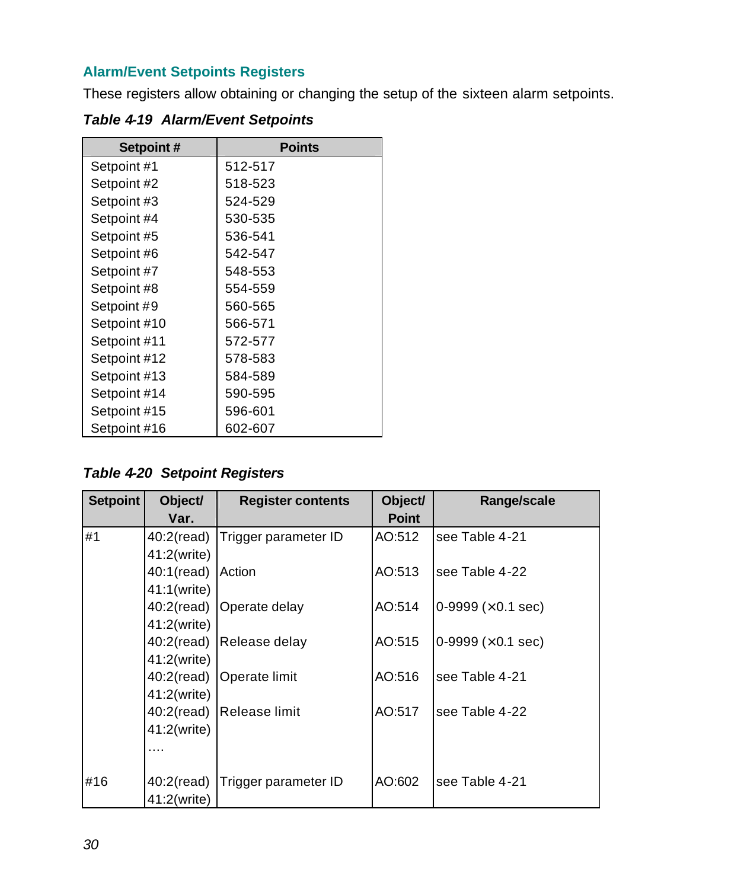#### <span id="page-30-0"></span>**Alarm/Event Setpoints Registers**

These registers allow obtaining or changing the setup of the sixteen alarm setpoints.

| Setpoint#    | <b>Points</b> |
|--------------|---------------|
| Setpoint #1  | 512-517       |
| Setpoint #2  | 518-523       |
| Setpoint #3  | 524-529       |
| Setpoint #4  | 530-535       |
| Setpoint #5  | 536-541       |
| Setpoint #6  | 542-547       |
| Setpoint #7  | 548-553       |
| Setpoint #8  | 554-559       |
| Setpoint #9  | 560-565       |
| Setpoint #10 | 566-571       |
| Setpoint #11 | 572-577       |
| Setpoint #12 | 578-583       |
| Setpoint #13 | 584-589       |
| Setpoint #14 | 590-595       |
| Setpoint #15 | 596-601       |
| Setpoint #16 | 602-607       |

*Table 4-19 Alarm/Event Setpoints*

*Table 4-20 Setpoint Registers*

| <b>Setpoint</b> | Object/       | <b>Register contents</b> | Object/      | Range/scale                       |
|-----------------|---------------|--------------------------|--------------|-----------------------------------|
|                 | Var.          |                          | <b>Point</b> |                                   |
| #1              | $40:2$ (read) | Trigger parameter ID     | AO:512       | lsee Table 4-21                   |
|                 | 41:2(write)   |                          |              |                                   |
|                 | 40:1(read)    | Action                   | AO:513       | lsee Table 4-22                   |
|                 | 41:1(write)   |                          |              |                                   |
|                 | 40:2(read)    | Operate delay            | AO:514       | $0.9999 \times 0.1$ sec)          |
|                 | 41:2(write)   |                          |              |                                   |
|                 | $40:2$ (read) | Release delay            | AO:515       | $ 0-9999 \times 0.1 \text{ sec} $ |
|                 | 41:2(write)   |                          |              |                                   |
|                 | $40:2$ (read) | Operate limit            | AO:516       | lsee Table 4-21                   |
|                 | 41:2(write)   |                          |              |                                   |
|                 | $40:2$ (read) | Release limit            | AO:517       | lsee Table 4-22                   |
|                 | 41:2(write)   |                          |              |                                   |
|                 |               |                          |              |                                   |
|                 |               |                          |              |                                   |
| #16             | $40:2$ (read) | Trigger parameter ID     | AO:602       | see Table 4-21                    |
|                 | 41:2(write)   |                          |              |                                   |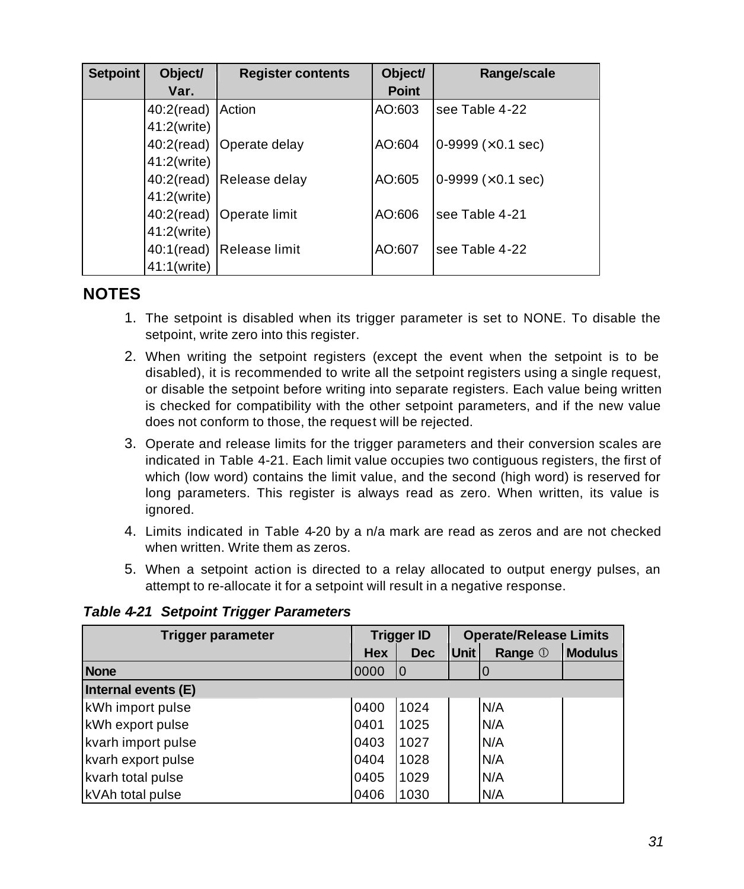| <b>Setpoint</b> | Object/           | <b>Register contents</b> | Object/      | Range/scale                  |
|-----------------|-------------------|--------------------------|--------------|------------------------------|
|                 | Var.              |                          | <b>Point</b> |                              |
|                 | 40:2(read) Action |                          | AO:603       | see Table 4-22               |
|                 | 41:2(write)       |                          |              |                              |
|                 |                   | 40:2(read) Operate delay | AO:604       | $0.9999$ ( $\times$ 0.1 sec) |
|                 | 41:2(write)       |                          |              |                              |
|                 |                   | 40:2(read) Release delay | AO:605       | $0.9999 \times 0.1$ sec)     |
|                 | 41:2(write)       |                          |              |                              |
|                 |                   | 40:2(read) Operate limit | AO:606       | see Table 4-21               |
|                 | 41:2(write)       |                          |              |                              |
|                 |                   | 40:1(read) Release limit | AO:607       | see Table 4-22               |
|                 | 41:1(write)       |                          |              |                              |

#### **NOTES**

- 1. The setpoint is disabled when its trigger parameter is set to NONE. To disable the setpoint, write zero into this register.
- 2. When writing the setpoint registers (except the event when the setpoint is to be disabled), it is recommended to write all the setpoint registers using a single request, or disable the setpoint before writing into separate registers. Each value being written is checked for compatibility with the other setpoint parameters, and if the new value does not conform to those, the request will be rejected.
- 3. Operate and release limits for the trigger parameters and their conversion scales are indicated in Table 4-21. Each limit value occupies two contiguous registers, the first of which (low word) contains the limit value, and the second (high word) is reserved for long parameters. This register is always read as zero. When written, its value is ignored.
- 4. Limits indicated in Table 4-20 by a n/a mark are read as zeros and are not checked when written. Write them as zeros.
- 5. When a setpoint action is directed to a relay allocated to output energy pulses, an attempt to re-allocate it for a setpoint will result in a negative response.

| <b>Trigger parameter</b>   |            | <b>Trigger ID</b> |             | <b>Operate/Release Limits</b> |                |
|----------------------------|------------|-------------------|-------------|-------------------------------|----------------|
|                            | <b>Hex</b> | <b>Dec</b>        | <b>Unit</b> | Range 1                       | <b>Modulus</b> |
| <b>None</b>                | 0000       | 10                |             |                               |                |
| Internal events (E)        |            |                   |             |                               |                |
| kWh import pulse           |            | 1024              |             | N/A                           |                |
| kWh export pulse           |            | 1025              |             | N/A                           |                |
| kvarh import pulse<br>0403 |            | 1027              |             | N/A                           |                |
| kvarh export pulse         |            | 1028              |             | N/A                           |                |
| kvarh total pulse          |            | 1029              |             | N/A                           |                |
| kVAh total pulse           | 0406       | 1030              |             | N/A                           |                |

*Table 4-21 Setpoint Trigger Parameters*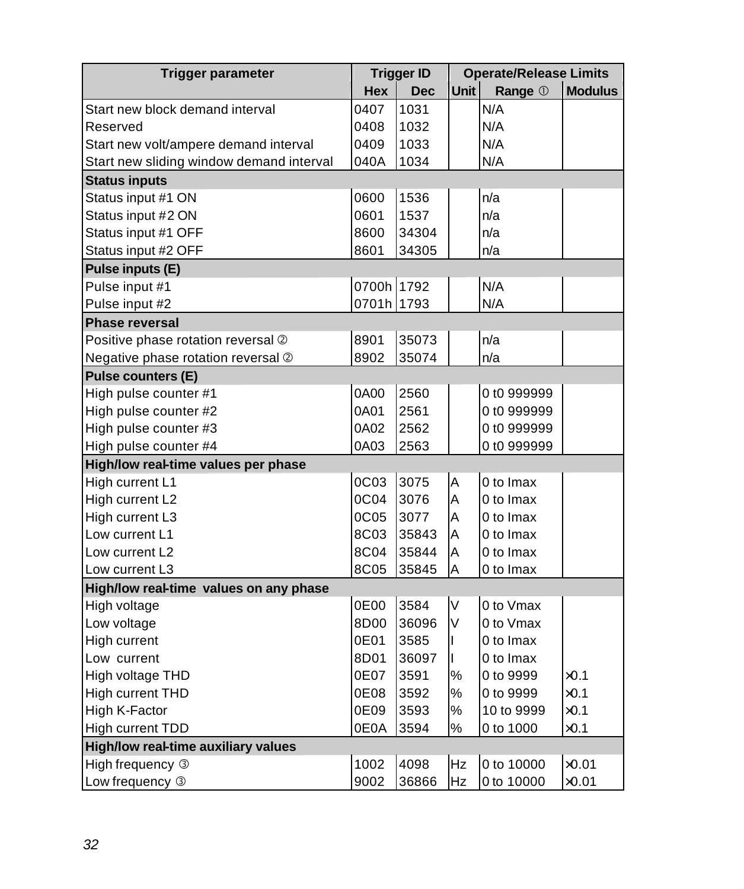| Trigger parameter                        |            | <b>Trigger ID</b> |             | <b>Operate/Release Limits</b> |                |  |
|------------------------------------------|------------|-------------------|-------------|-------------------------------|----------------|--|
|                                          | Hex        | <b>Dec</b>        | <b>Unit</b> | Range 1                       | <b>Modulus</b> |  |
| Start new block demand interval          | 0407       | 1031              |             | N/A                           |                |  |
| Reserved                                 | 0408       | 1032              |             | N/A                           |                |  |
| Start new volt/ampere demand interval    | 0409       | 1033              |             | N/A                           |                |  |
| Start new sliding window demand interval | 040A       | 1034              |             | N/A                           |                |  |
| <b>Status inputs</b>                     |            |                   |             |                               |                |  |
| Status input #1 ON                       | 0600       | 1536              |             | n/a                           |                |  |
| Status input #2 ON                       | 0601       | 1537              |             | n/a                           |                |  |
| Status input #1 OFF                      | 8600       | 34304             |             | n/a                           |                |  |
| Status input #2 OFF                      | 8601       | 34305             |             | n/a                           |                |  |
| Pulse inputs (E)                         |            |                   |             |                               |                |  |
| Pulse input #1                           | 0700h 1792 |                   |             | N/A                           |                |  |
| Pulse input #2                           | 0701h 1793 |                   |             | N/A                           |                |  |
| <b>Phase reversal</b>                    |            |                   |             |                               |                |  |
| Positive phase rotation reversal 2       | 8901       | 35073             |             | n/a                           |                |  |
| Negative phase rotation reversal 2       | 8902       | 35074             |             | n/a                           |                |  |
| <b>Pulse counters (E)</b>                |            |                   |             |                               |                |  |
| High pulse counter #1                    | 0A00       | 2560              |             | 0 t0 999999                   |                |  |
| High pulse counter #2                    | 0A01       | 2561              |             | 0 t0 999999                   |                |  |
| High pulse counter #3                    | 0A02       | 2562              |             | 0 t0 999999                   |                |  |
| High pulse counter #4                    | 0A03       | 2563              |             | 0 t0 999999                   |                |  |
| High/low real-time values per phase      |            |                   |             |                               |                |  |
| High current L1                          | 0C03       | 3075              | A           | 0 to Imax                     |                |  |
| High current L2                          | 0C04       | 3076              | A           | 0 to Imax                     |                |  |
| High current L3                          | 0C05       | 3077              | A           | 0 to Imax                     |                |  |
| Low current L1                           | 8C03       | 35843             | А           | 0 to Imax                     |                |  |
| Low current L2                           | 8C04       | 35844             | Α           | 0 to Imax                     |                |  |
| Low current L3                           | 8C05       | 35845             | Α           | 0 to Imax                     |                |  |
| High/low real-time values on any phase   |            |                   |             |                               |                |  |
| High voltage                             | 0E00       | 3584              | V           | 0 to Vmax                     |                |  |
| Low voltage                              | 8D00       | 36096             | V           | 0 to Vmax                     |                |  |
| High current                             | 0E01       | 3585              | L           | 0 to Imax                     |                |  |
| Low current                              | 8D01       | 36097             | L           | 0 to Imax                     |                |  |
| High voltage THD                         | 0E07       | 3591              | $\%$        | 0 to 9999                     | $\times 0.1$   |  |
| High current THD                         | 0E08       | 3592              | %           | 0 to 9999                     | $\times$ 0.1   |  |
| High K-Factor                            | 0E09       | 3593              | %           | 10 to 9999                    | $\times 0.1$   |  |
| High current TDD                         | 0E0A       | 3594              | $\%$        | 0 to 1000                     | $\times 0.1$   |  |
| High/low real-time auxiliary values      |            |                   |             |                               |                |  |
| High frequency 3                         | 1002       | 4098              | Hz          | 0 to 10000                    | $\times$ 0.01  |  |
| Low frequency 3                          | 9002       | 36866             | Hz          | 0 to 10000                    | $\times 0.01$  |  |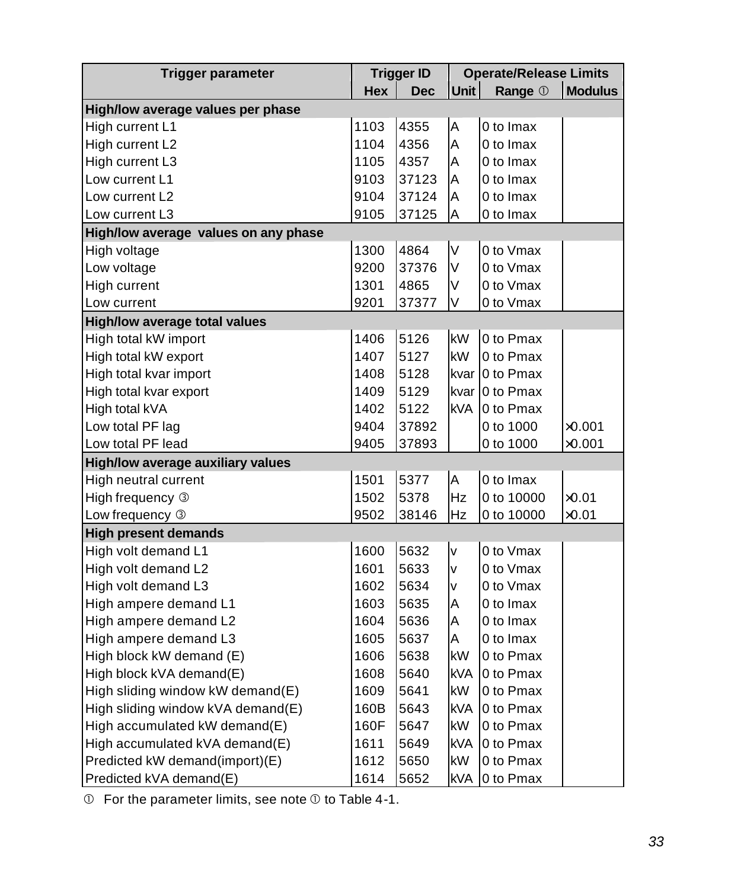| <b>Trigger parameter</b>             | <b>Trigger ID</b> |            | <b>Operate/Release Limits</b> |                 |                |
|--------------------------------------|-------------------|------------|-------------------------------|-----------------|----------------|
|                                      | Hex               | <b>Dec</b> | <b>Unit</b>                   | Range 1         | <b>Modulus</b> |
| High/low average values per phase    |                   |            |                               |                 |                |
| High current L1                      | 1103              | 4355       | A                             | 0 to Imax       |                |
| High current L2                      | 1104              | 4356       | A                             | 0 to Imax       |                |
| High current L3                      | 1105              | 4357       | A                             | 0 to Imax       |                |
| Low current L1                       | 9103              | 37123      | А                             | 0 to Imax       |                |
| Low current L2                       | 9104              | 37124      | A                             | 0 to Imax       |                |
| Low current L3                       | 9105              | 37125      | A                             | 0 to Imax       |                |
| High/low average values on any phase |                   |            |                               |                 |                |
| High voltage                         | 1300              | 4864       | V                             | 0 to Vmax       |                |
| Low voltage                          | 9200              | 37376      | V                             | 0 to Vmax       |                |
| High current                         | 1301              | 4865       | V                             | 0 to Vmax       |                |
| Low current                          | 9201              | 37377      | V                             | 0 to Vmax       |                |
| <b>High/low average total values</b> |                   |            |                               |                 |                |
| High total kW import                 | 1406              | 5126       | <b>kW</b>                     | 0 to Pmax       |                |
| High total kW export                 | 1407              | 5127       | kW                            | 0 to Pmax       |                |
| High total kvar import               | 1408              | 5128       |                               | kvar 10 to Pmax |                |
| High total kvar export               | 1409              | 5129       |                               | kvar 10 to Pmax |                |
| High total kVA                       | 1402              | 5122       | kVA                           | 10 to Pmax      |                |
| Low total PF lag                     | 9404              | 37892      |                               | 0 to 1000       | $\times 0.001$ |
| Low total PF lead                    | 9405              | 37893      |                               | 0 to 1000       | $\times 0.001$ |
| High/low average auxiliary values    |                   |            |                               |                 |                |
| High neutral current                 | 1501              | 5377       | A                             | 0 to Imax       |                |
| High frequency 3                     | 1502              | 5378       | Hz                            | 0 to 10000      | $\times 0.01$  |
| Low frequency 3                      | 9502              | 38146      | Hz                            | 0 to 10000      | $\times$ 0.01  |
| <b>High present demands</b>          |                   |            |                               |                 |                |
| High volt demand L1                  | 1600              | 5632       | V                             | 0 to Vmax       |                |
| High volt demand L2                  | 1601              | 5633       | v                             | 0 to Vmax       |                |
| High volt demand L3                  | 1602              | 5634       | V                             | 0 to Vmax       |                |
| High ampere demand L1                | 1603              | 5635       | A                             | 0 to Imax       |                |
| High ampere demand L2                | 1604              | 5636       | A                             | 0 to Imax       |                |
| High ampere demand L3                | 1605              | 5637       | A                             | 0 to Imax       |                |
| High block kW demand (E)             |                   | 5638       | kW                            | 0 to Pmax       |                |
| High block kVA demand(E)             |                   | 5640       | <b>kVA</b>                    | 0 to Pmax       |                |
| High sliding window kW demand(E)     | 1609              | 5641       | kW                            | 0 to Pmax       |                |
| High sliding window kVA demand(E)    | 160B              | 5643       | <b>kVA</b>                    | 0 to Pmax       |                |
| High accumulated kW demand(E)        | 160F              | 5647       | kW                            | 0 to Pmax       |                |
| High accumulated kVA demand(E)       | 1611              | 5649       | <b>kVA</b>                    | 0 to Pmax       |                |
| Predicted kW demand(import)(E)       | 1612              | 5650       | kW                            | 0 to Pmax       |                |
| Predicted kVA demand(E)              | 1614              | 5652       | kVA                           | 0 to Pmax       |                |

 $©$  For the parameter limits, see note  $①$  to Table 4-1.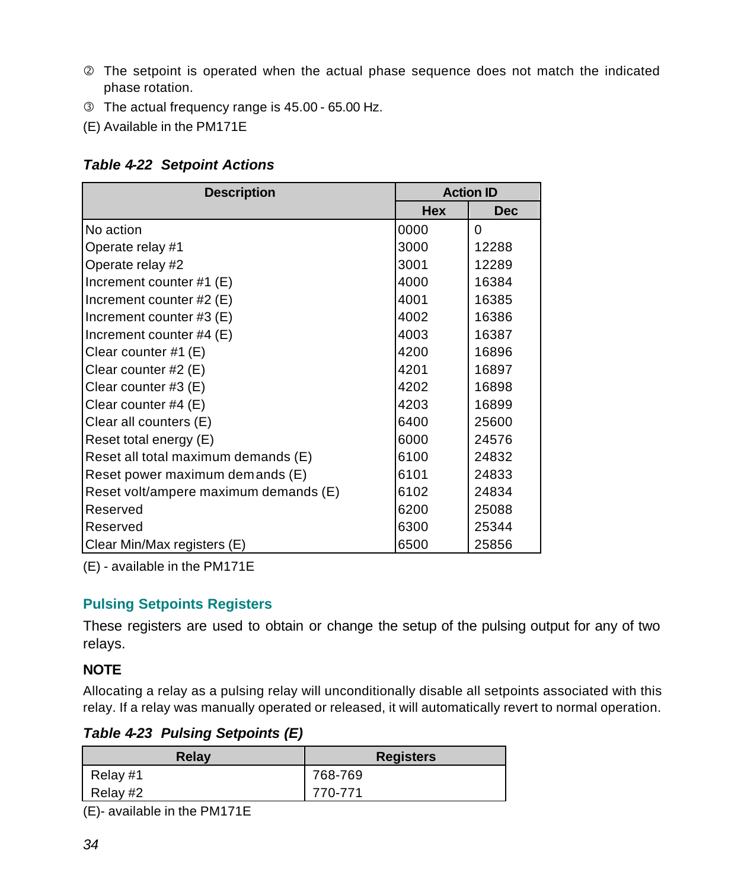- <span id="page-34-0"></span>Ç The setpoint is operated when the actual phase sequence does not match the indicated phase rotation.
- É The actual frequency range is 45.00 65.00 Hz.
- (E) Available in the PM171E

#### *Table 4-22 Setpoint Actions*

| <b>Description</b>                    | <b>Action ID</b> |            |  |
|---------------------------------------|------------------|------------|--|
|                                       | <b>Hex</b>       | <b>Dec</b> |  |
| No action                             | 0000             | $\Omega$   |  |
| Operate relay #1                      | 3000             | 12288      |  |
| Operate relay #2                      | 3001             | 12289      |  |
| Increment counter #1 (E)              | 4000             | 16384      |  |
| Increment counter #2 (E)              | 4001             | 16385      |  |
| Increment counter #3 (E)              | 4002             | 16386      |  |
| Increment counter #4 (E)              | 4003             | 16387      |  |
| Clear counter #1 (E)                  | 4200             | 16896      |  |
| Clear counter #2 (E)                  | 4201             | 16897      |  |
| Clear counter #3 (E)                  | 4202             | 16898      |  |
| Clear counter #4 (E)                  | 4203             | 16899      |  |
| Clear all counters (E)                | 6400             | 25600      |  |
| Reset total energy (E)                | 6000             | 24576      |  |
| Reset all total maximum demands (E)   | 6100             | 24832      |  |
| Reset power maximum demands (E)       | 6101             | 24833      |  |
| Reset volt/ampere maximum demands (E) | 6102             | 24834      |  |
| Reserved                              | 6200             | 25088      |  |
| Reserved                              | 6300             | 25344      |  |
| Clear Min/Max registers (E)           | 6500             | 25856      |  |

(E) - available in the PM171E

#### **Pulsing Setpoints Registers**

These registers are used to obtain or change the setup of the pulsing output for any of two relays.

#### **NOTE**

Allocating a relay as a pulsing relay will unconditionally disable all setpoints associated with this relay. If a relay was manually operated or released, it will automatically revert to normal operation.

*Table 4-23 Pulsing Setpoints (E)*

| Relay    | <b>Registers</b> |
|----------|------------------|
| Relay #1 | 768-769          |
| Relay #2 | 770-771          |

(E)- available in the PM171E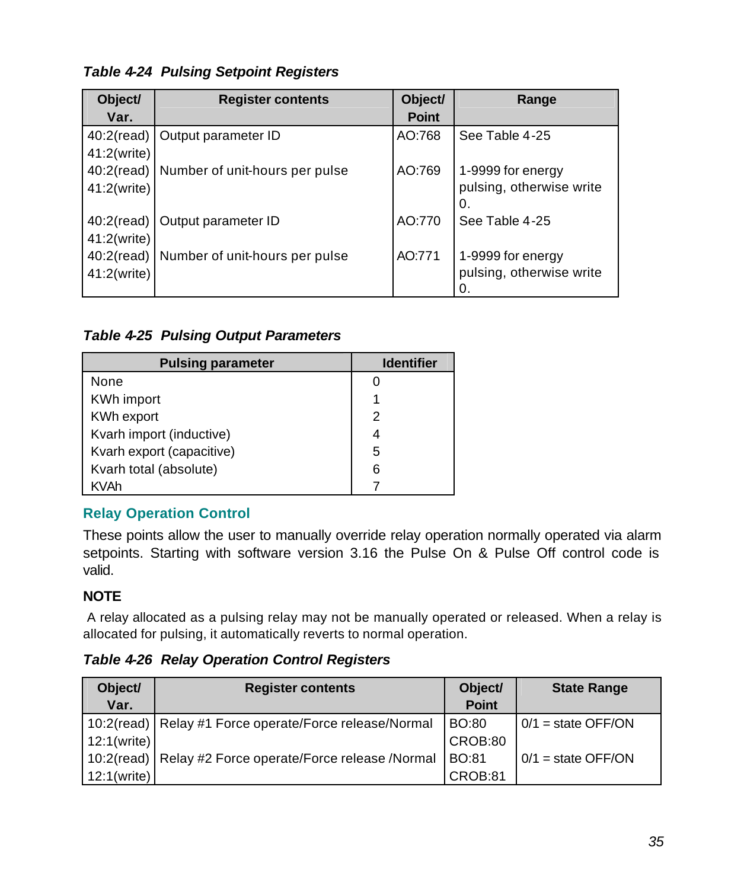<span id="page-35-0"></span>*Table 4-24 Pulsing Setpoint Registers*

| Object/<br>Var. | <b>Register contents</b>                    | Object/<br><b>Point</b> | Range                                               |
|-----------------|---------------------------------------------|-------------------------|-----------------------------------------------------|
| 41:2(write)     | 40:2(read)   Output parameter ID            | AO:768                  | See Table 4-25                                      |
| 41:2(write)     | 40:2(read)   Number of unit-hours per pulse | AO:769                  | 1-9999 for energy<br>pulsing, otherwise write<br>0. |
| 41:2(write)     | 40:2(read)   Output parameter ID            | AO:770                  | See Table 4-25                                      |
| 41:2(write)     | 40:2(read)   Number of unit-hours per pulse | AO:771                  | 1-9999 for energy<br>pulsing, otherwise write<br>0. |

*Table 4-25 Pulsing Output Parameters*

| <b>Pulsing parameter</b>  | <b>Identifier</b> |
|---------------------------|-------------------|
| None                      |                   |
| <b>KWh import</b>         |                   |
| KWh export                | 2                 |
| Kvarh import (inductive)  |                   |
| Kvarh export (capacitive) | 5                 |
| Kvarh total (absolute)    | 6                 |
| <b>KVAh</b>               |                   |

#### **Relay Operation Control**

These points allow the user to manually override relay operation normally operated via alarm setpoints. Starting with software version 3.16 the Pulse On & Pulse Off control code is valid.

#### **NOTE**

 A relay allocated as a pulsing relay may not be manually operated or released. When a relay is allocated for pulsing, it automatically reverts to normal operation.

*Table 4-26 Relay Operation Control Registers*

| Object/<br>Var. | <b>Register contents</b>                                   | Object/<br><b>Point</b> | <b>State Range</b>   |
|-----------------|------------------------------------------------------------|-------------------------|----------------------|
|                 |                                                            |                         |                      |
|                 | 10:2(read)   Relay #1 Force operate/Force release/Normal   | <b>BO:80</b>            | $0/1$ = state OFF/ON |
| 12:1(write)     |                                                            | CROB:80                 |                      |
|                 | 10:2(read)   Relay #2 Force operate/Force release / Normal | <b>BO:81</b>            | $0/1$ = state OFF/ON |
| 12:1(write)     |                                                            | CROB:81                 |                      |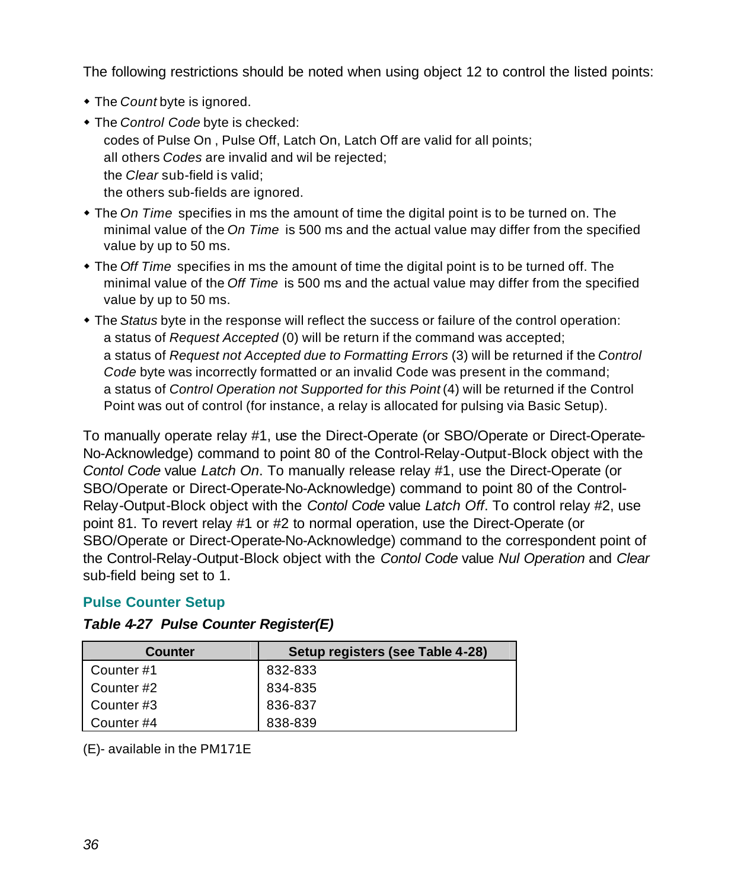<span id="page-36-0"></span>The following restrictions should be noted when using object 12 to control the listed points:

- The *Count* byte is ignored.
- $\bullet$  The *Control Code* byte is checked: codes of Pulse On , Pulse Off, Latch On, Latch Off are valid for all points; all others *Codes* are invalid and wil be rejected; the *Clear* sub-field is valid; the others sub-fields are ignored.
- The *On Time* specifies in ms the amount of time the digital point is to be turned on. The minimal value of the *On Time* is 500 ms and the actual value may differ from the specified value by up to 50 ms.
- The *Off Time* specifies in ms the amount of time the digital point is to be turned off. The minimal value of the *Off Time* is 500 ms and the actual value may differ from the specified value by up to 50 ms.
- w The *Status* byte in the response will reflect the success or failure of the control operation: a status of *Request Accepted* (0) will be return if the command was accepted; a status of *Request not Accepted due to Formatting Errors* (3) will be returned if the *Control Code* byte was incorrectly formatted or an invalid Code was present in the command; a status of *Control Operation not Supported for this Point* (4) will be returned if the Control Point was out of control (for instance, a relay is allocated for pulsing via Basic Setup).

To manually operate relay #1, use the Direct-Operate (or SBO/Operate or Direct-Operate-No-Acknowledge) command to point 80 of the Control-Relay-Output-Block object with the *Contol Code* value *Latch On*. To manually release relay #1, use the Direct-Operate (or SBO/Operate or Direct-Operate-No-Acknowledge) command to point 80 of the Control-Relay-Output-Block object with the *Contol Code* value *Latch Off*. To control relay #2, use point 81. To revert relay #1 or #2 to normal operation, use the Direct-Operate (or SBO/Operate or Direct-Operate-No-Acknowledge) command to the correspondent point of the Control-Relay-Output-Block object with the *Contol Code* value *Nul Operation* and *Clear* sub-field being set to 1.

#### **Pulse Counter Setup**

| Counter   | Setup registers (see Table 4-28) |
|-----------|----------------------------------|
| Counter#1 | 832-833                          |
| Counter#2 | 834-835                          |
| Counter#3 | 836-837                          |
| Counter#4 | 838-839                          |

#### *Table 4-27 Pulse Counter Register(E)*

(E)- available in the PM171E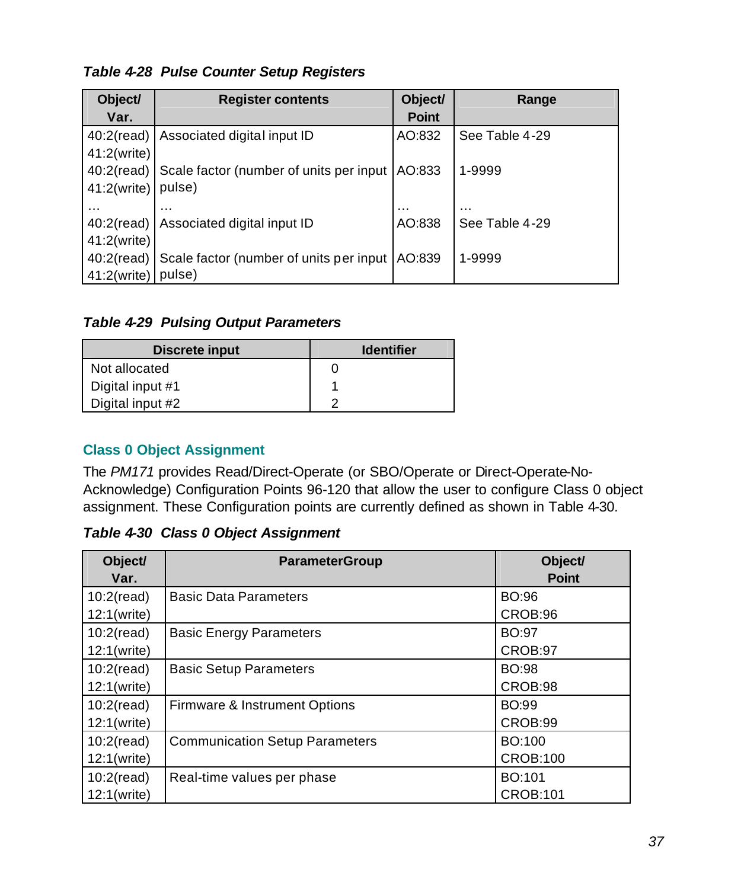#### <span id="page-37-0"></span>*Table 4-28 Pulse Counter Setup Registers*

| Object/       | <b>Register contents</b>                           | Object/      | Range          |
|---------------|----------------------------------------------------|--------------|----------------|
| Var.          |                                                    | <b>Point</b> |                |
| $40:2$ (read) | Associated digital input ID                        | AO:832       | See Table 4-29 |
| 41:2(write)   |                                                    |              |                |
|               | 40:2(read) Scale factor (number of units per input | AO:833       | 1-9999         |
| 41:2(write)   | pulse)                                             |              |                |
| $\cdots$      | $\cdots$                                           | $\cdots$     | .              |
| $40:2$ (read) | Associated digital input ID                        | AO:838       | See Table 4-29 |
| 41:2(write)   |                                                    |              |                |
|               | 40:2(read) Scale factor (number of units per input | AO:839       | 1-9999         |
| 41:2(write)   | pulse)                                             |              |                |

#### *Table 4-29 Pulsing Output Parameters*

| Discrete input   | <b>Identifier</b> |
|------------------|-------------------|
| Not allocated    |                   |
| Digital input #1 |                   |
| Digital input #2 |                   |

#### **Class 0 Object Assignment**

The *PM171* provides Read/Direct-Operate (or SBO/Operate or Direct-Operate-No-Acknowledge) Configuration Points 96-120 that allow the user to configure Class 0 object assignment. These Configuration points are currently defined as shown in Table 4-30.

*Table 4-30 Class 0 Object Assignment*

| Object/<br>Var.              | <b>ParameterGroup</b>                 | Object/<br><b>Point</b>   |
|------------------------------|---------------------------------------|---------------------------|
| $10:2$ (read)<br>12:1(write) | <b>Basic Data Parameters</b>          | BO:96<br>CROB:96          |
| $10:2$ (read)<br>12:1(write) | <b>Basic Energy Parameters</b>        | <b>BO:97</b><br>CROB:97   |
| $10:2$ (read)<br>12:1(write) | <b>Basic Setup Parameters</b>         | <b>BO:98</b><br>CROB:98   |
| $10:2$ (read)<br>12:1(write) | Firmware & Instrument Options         | <b>BO:99</b><br>CROB:99   |
| $10:2$ (read)<br>12:1(write) | <b>Communication Setup Parameters</b> | BO:100<br><b>CROB:100</b> |
| $10:2$ (read)<br>12:1(write) | Real-time values per phase            | BO:101<br><b>CROB:101</b> |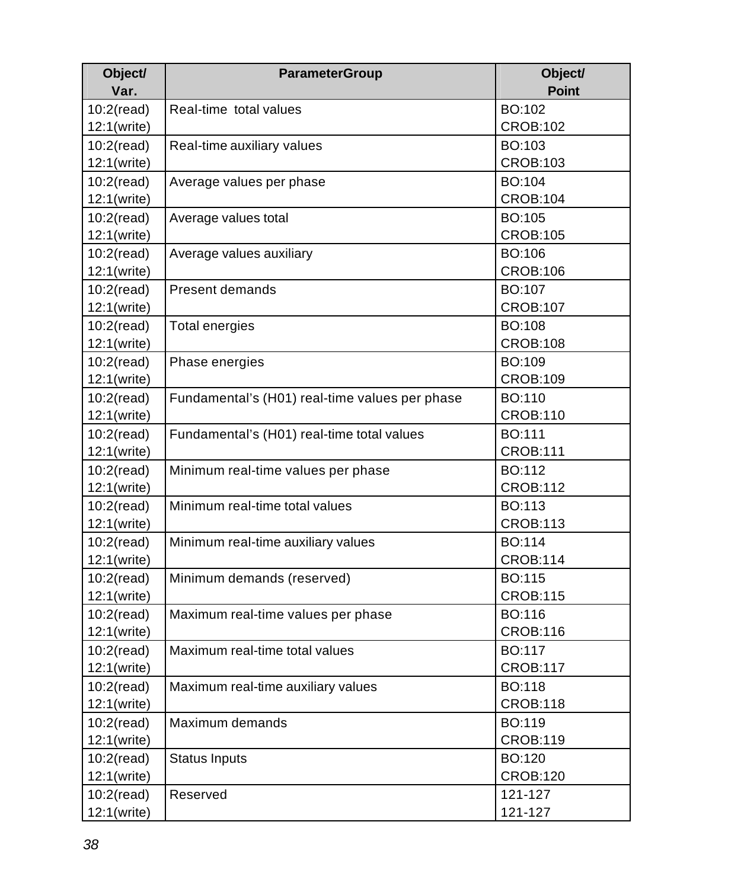| Object/       | <b>ParameterGroup</b>                          | Object/         |
|---------------|------------------------------------------------|-----------------|
| Var.          |                                                | <b>Point</b>    |
| $10:2$ (read) | Real-time total values                         | BO:102          |
| 12:1(write)   |                                                | <b>CROB:102</b> |
| $10:2$ (read) | Real-time auxiliary values                     | BO:103          |
| 12:1(write)   |                                                | <b>CROB:103</b> |
| $10:2$ (read) | Average values per phase                       | BO:104          |
| 12:1(write)   |                                                | <b>CROB:104</b> |
| 10:2(read)    | Average values total                           | BO:105          |
| 12:1(write)   |                                                | <b>CROB:105</b> |
| $10:2$ (read) | Average values auxiliary                       | BO:106          |
| 12:1(write)   |                                                | <b>CROB:106</b> |
| $10:2$ (read) | Present demands                                | BO:107          |
| 12:1(write)   |                                                | <b>CROB:107</b> |
| $10:2$ (read) | <b>Total energies</b>                          | <b>BO:108</b>   |
| 12:1(write)   |                                                | <b>CROB:108</b> |
| $10:2$ (read) | Phase energies                                 | BO:109          |
| 12:1(write)   |                                                | <b>CROB:109</b> |
| $10:2$ (read) | Fundamental's (H01) real-time values per phase | BO:110          |
| 12:1(write)   |                                                | <b>CROB:110</b> |
| $10:2$ (read) | Fundamental's (H01) real-time total values     | BO:111          |
| 12:1(write)   |                                                | <b>CROB:111</b> |
| $10:2$ (read) | Minimum real-time values per phase             | BO:112          |
| 12:1(write)   |                                                | <b>CROB:112</b> |
| $10:2$ (read) | Minimum real-time total values                 | BO:113          |
| 12:1(write)   |                                                | <b>CROB:113</b> |
| $10:2$ (read) | Minimum real-time auxiliary values             | BO:114          |
| 12:1(write)   |                                                | <b>CROB:114</b> |
| $10:2$ (read) | Minimum demands (reserved)                     | BO:115          |
| 12:1(write)   |                                                | <b>CROB:115</b> |
| $10:2$ (read) | Maximum real-time values per phase             | BO:116          |
| 12:1(write)   |                                                | <b>CROB:116</b> |
| $10:2$ (read) | Maximum real-time total values                 | BO:117          |
| 12:1(write)   |                                                | <b>CROB:117</b> |
| $10:2$ (read) | Maximum real-time auxiliary values             | <b>BO:118</b>   |
| 12:1(write)   |                                                | <b>CROB:118</b> |
| $10:2$ (read) | Maximum demands                                | BO:119          |
| 12:1(write)   |                                                | <b>CROB:119</b> |
| $10:2$ (read) | <b>Status Inputs</b>                           | BO:120          |
| 12:1(write)   |                                                | <b>CROB:120</b> |
| $10:2$ (read) | Reserved                                       | 121-127         |
| 12:1(write)   |                                                | 121-127         |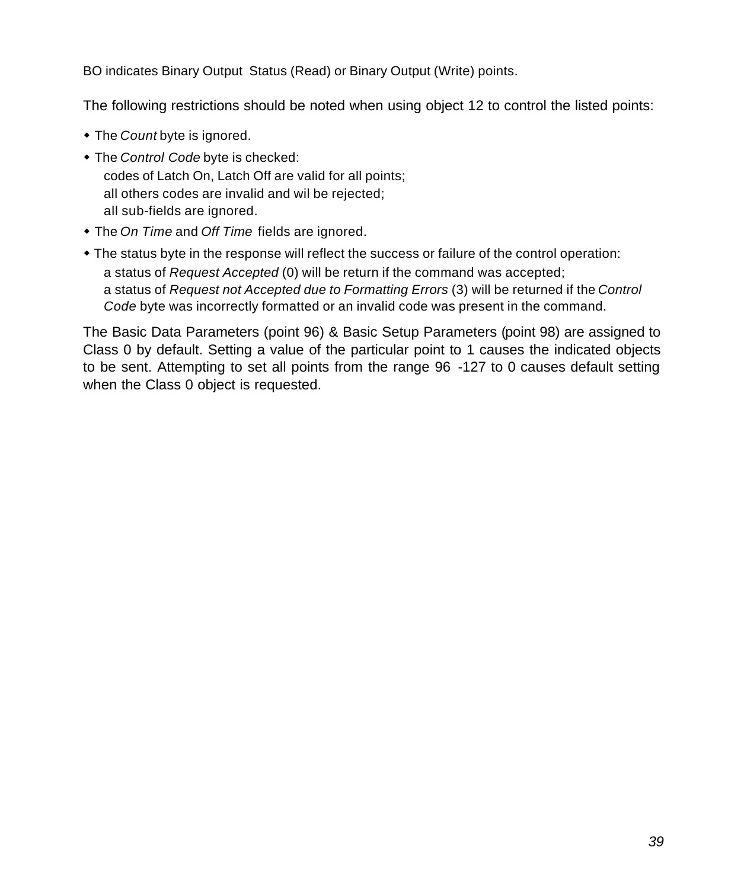BO indicates Binary Output Status (Read) or Binary Output (Write) points.

The following restrictions should be noted when using object 12 to control the listed points:

- The *Count* byte is ignored.
- $\bullet$  The *Control Code* byte is checked: codes of Latch On, Latch Off are valid for all points; all others codes are invalid and wil be rejected; all sub-fields are ignored.
- The *On Time* and *Off Time* fields are ignored.
- The status byte in the response will reflect the success or failure of the control operation: a status of *Request Accepted* (0) will be return if the command was accepted; a status of *Request not Accepted due to Formatting Errors* (3) will be returned if the *Control Code* byte was incorrectly formatted or an invalid code was present in the command.

The Basic Data Parameters (point 96) & Basic Setup Parameters (point 98) are assigned to Class 0 by default. Setting a value of the particular point to 1 causes the indicated objects to be sent. Attempting to set all points from the range 96 -127 to 0 causes default setting when the Class 0 object is requested.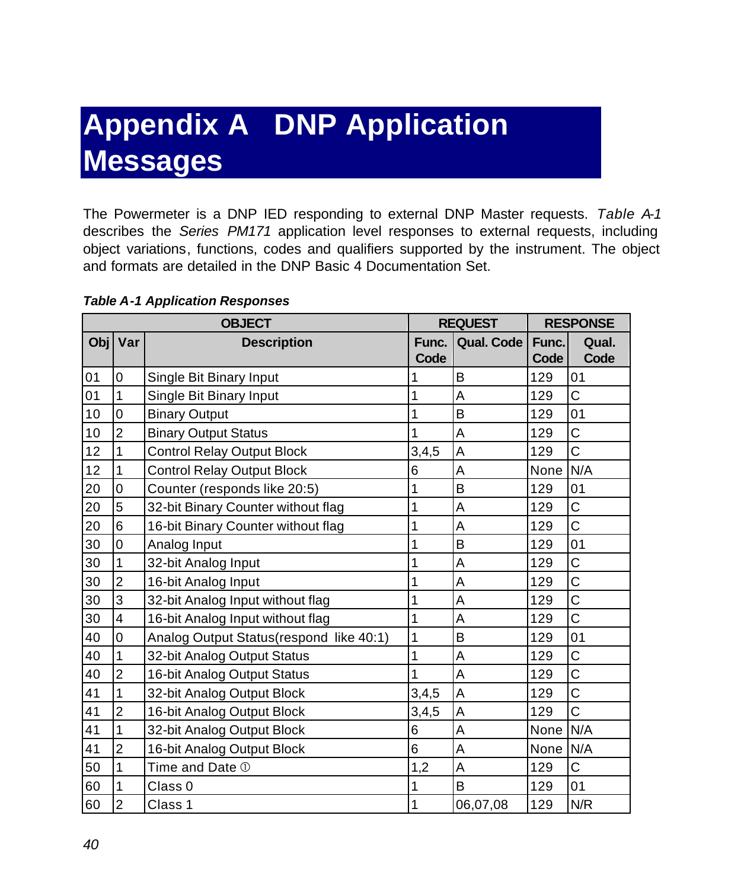### <span id="page-40-0"></span>**Appendix A DNP Application Messages**

The Powermeter is a DNP IED responding to external DNP Master requests. *Table A-1* describes the *Series PM171* application level responses to external requests, including object variations, functions, codes and qualifiers supported by the instrument. The object and formats are detailed in the DNP Basic 4 Documentation Set.

|     |                         | <b>OBJECT</b>                           | <b>REQUEST</b> |                   | <b>RESPONSE</b> |                |
|-----|-------------------------|-----------------------------------------|----------------|-------------------|-----------------|----------------|
| Obj | Var                     | <b>Description</b>                      | Func.<br>Code  | <b>Qual. Code</b> | Func.<br>Code   | Qual.<br>Code  |
| 01  | $\mathbf 0$             | Single Bit Binary Input                 | 1              | B                 | 129             | 01             |
| 01  | $\mathbf{1}$            | Single Bit Binary Input                 | 1              | Α                 | 129             | C              |
| 10  | $\overline{0}$          | <b>Binary Output</b>                    | 1              | B                 | 129             | 01             |
| 10  | $\overline{2}$          | <b>Binary Output Status</b>             | 1              | A                 | 129             | C              |
| 12  | 1                       | Control Relay Output Block              | 3,4,5          | Α                 | 129             | $\ddot{C}$     |
| 12  | 1                       | <b>Control Relay Output Block</b>       | 6              | A                 | None            | N/A            |
| 20  | $\mathbf 0$             | Counter (responds like 20:5)            | 1              | B                 | 129             | 01             |
| 20  | 5                       | 32-bit Binary Counter without flag      | 1              | A                 | 129             | C              |
| 20  | $6\phantom{1}6$         | 16-bit Binary Counter without flag      | 1              | A                 | 129             | C              |
| 30  | $\mathbf 0$             | Analog Input                            | 1              | B                 | 129             | 01             |
| 30  | 1                       | 32-bit Analog Input                     | 1              | A                 | 129             | C              |
| 30  | $\overline{2}$          | 16-bit Analog Input                     | 1              | A                 | 129             | C              |
| 30  | 3                       | 32-bit Analog Input without flag        | 1              | A                 | 129             | C              |
| 30  | $\overline{\mathbf{4}}$ | 16-bit Analog Input without flag        | 1              | A                 | 129             | $\overline{C}$ |
| 40  | $\overline{0}$          | Analog Output Status(respond like 40:1) | 1              | B                 | 129             | 01             |
| 40  | 1                       | 32-bit Analog Output Status             | 1              | Α                 | 129             | C              |
| 40  | $\overline{2}$          | 16-bit Analog Output Status             | 1              | A                 | 129             | C              |
| 41  | 1                       | 32-bit Analog Output Block              | 3,4,5          | A                 | 129             | C              |
| 41  | $\overline{2}$          | 16-bit Analog Output Block              | 3,4,5          | A                 | 129             | $\overline{C}$ |
| 41  | 1                       | 32-bit Analog Output Block              | 6              | Α                 | None            | N/A            |
| 41  | $\overline{2}$          | 16-bit Analog Output Block              | 6              | A                 | None            | N/A            |
| 50  | 1                       | Time and Date 1                         | 1,2            | A                 | 129             | C              |
| 60  | 1                       | Class 0                                 | 1              | B                 | 129             | 01             |
| 60  | $\overline{2}$          | Class 1                                 | 1              | 06,07,08          | 129             | N/R            |

#### *Table A-1 Application Responses*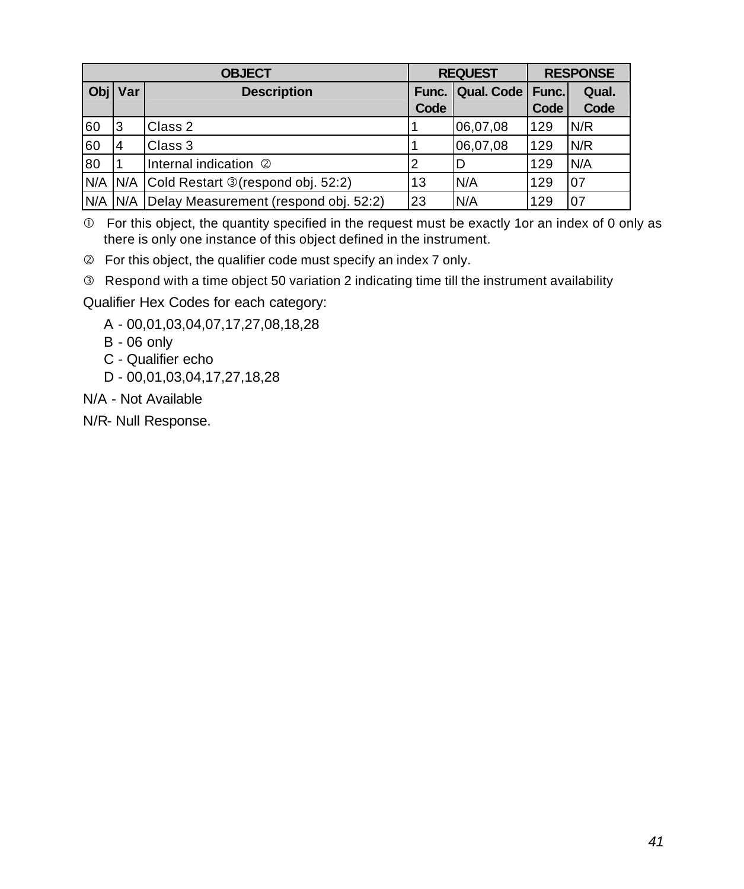| <b>OBJECT</b> |     |                                           |               | <b>REQUEST</b>     |      | <b>RESPONSE</b> |  |
|---------------|-----|-------------------------------------------|---------------|--------------------|------|-----------------|--|
| Objl          | Var | <b>Description</b>                        | Func.<br>Code | Qual. Code   Func. | Code | Qual.<br>Code   |  |
| 60            | 3   | Class 2                                   |               | 06,07,08           | 129  | N/R             |  |
| 60            | 4   | Class 3                                   |               | 06,07,08           | 129  | N/R             |  |
| 80            |     | Internal indication 2                     | 2             |                    | 129  | N/A             |  |
| N/A           | N/A | Cold Restart <b>T</b> (respond obj. 52:2) | 13            | N/A                | 129  | 07              |  |
| N/A           | N/A | Delay Measurement (respond obj. 52:2)     | 23            | N/A                | 129  | 07              |  |

 $<sup>①</sup>$  For this object, the quantity specified in the request must be exactly 1or an index of 0 only as</sup> there is only one instance of this object defined in the instrument.

Ç For this object, the qualifier code must specify an index 7 only.

**E** Respond with a time object 50 variation 2 indicating time till the instrument availability

Qualifier Hex Codes for each category:

- A 00,01,03,04,07,17,27,08,18,28
- B 06 only
- C Qualifier echo
- D 00,01,03,04,17,27,18,28
- N/A Not Available

N/R- Null Response.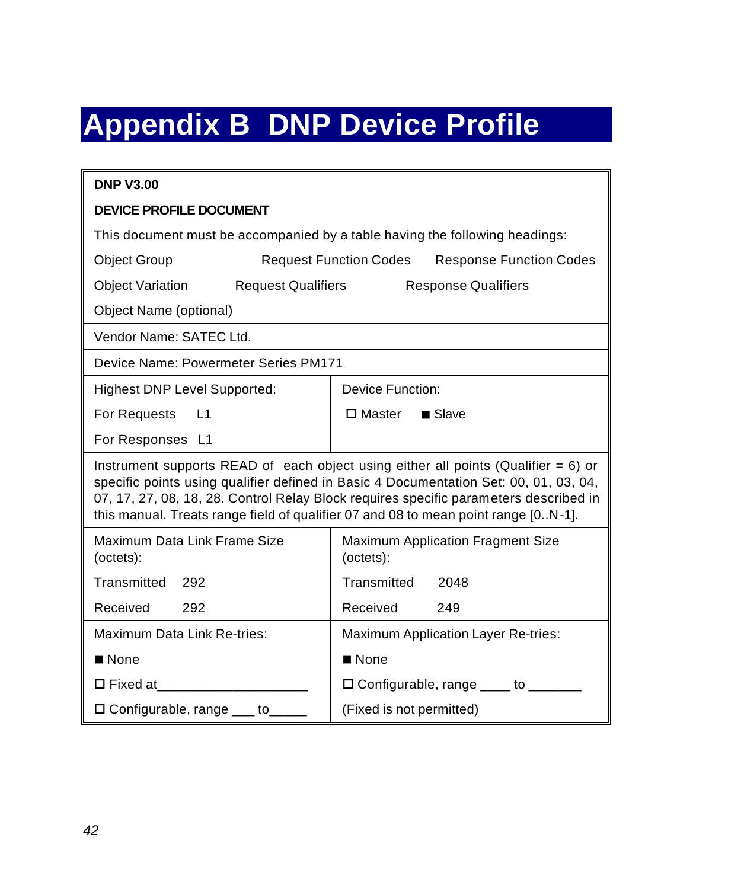## <span id="page-42-0"></span>**Appendix B DNP Device Profile**

| <b>DNP V3.00</b>                                                                                                                                                                                                                                                                                                                                              |                                                                 |  |  |  |  |
|---------------------------------------------------------------------------------------------------------------------------------------------------------------------------------------------------------------------------------------------------------------------------------------------------------------------------------------------------------------|-----------------------------------------------------------------|--|--|--|--|
| <b>DEVICE PROFILE DOCUMENT</b>                                                                                                                                                                                                                                                                                                                                |                                                                 |  |  |  |  |
| This document must be accompanied by a table having the following headings:                                                                                                                                                                                                                                                                                   |                                                                 |  |  |  |  |
| <b>Object Group</b>                                                                                                                                                                                                                                                                                                                                           | <b>Request Function Codes</b><br><b>Response Function Codes</b> |  |  |  |  |
| <b>Object Variation</b><br>Request Qualifiers                                                                                                                                                                                                                                                                                                                 | <b>Response Qualifiers</b>                                      |  |  |  |  |
| Object Name (optional)                                                                                                                                                                                                                                                                                                                                        |                                                                 |  |  |  |  |
| Vendor Name: SATEC Ltd.                                                                                                                                                                                                                                                                                                                                       |                                                                 |  |  |  |  |
| Device Name: Powermeter Series PM171                                                                                                                                                                                                                                                                                                                          |                                                                 |  |  |  |  |
| <b>Highest DNP Level Supported:</b>                                                                                                                                                                                                                                                                                                                           | Device Function:                                                |  |  |  |  |
| For Requests<br>$\mathsf{L}$ 1                                                                                                                                                                                                                                                                                                                                | □ Master<br>$\blacksquare$ Slave                                |  |  |  |  |
| For Responses L1                                                                                                                                                                                                                                                                                                                                              |                                                                 |  |  |  |  |
| Instrument supports READ of each object using either all points (Qualifier $= 6$ ) or<br>specific points using qualifier defined in Basic 4 Documentation Set: 00, 01, 03, 04,<br>07, 17, 27, 08, 18, 28. Control Relay Block requires specific parameters described in<br>this manual. Treats range field of qualifier 07 and 08 to mean point range [0N-1]. |                                                                 |  |  |  |  |
| Maximum Data Link Frame Size<br>(octets):                                                                                                                                                                                                                                                                                                                     | <b>Maximum Application Fragment Size</b><br>(octets):           |  |  |  |  |
| Transmitted 292                                                                                                                                                                                                                                                                                                                                               | Transmitted<br>2048                                             |  |  |  |  |
| Received<br>292                                                                                                                                                                                                                                                                                                                                               | Received<br>249                                                 |  |  |  |  |
| Maximum Data Link Re-tries:                                                                                                                                                                                                                                                                                                                                   | Maximum Application Layer Re-tries:                             |  |  |  |  |
| $\blacksquare$ None                                                                                                                                                                                                                                                                                                                                           | $\blacksquare$ None                                             |  |  |  |  |
| □ Fixed at__________________________                                                                                                                                                                                                                                                                                                                          | $\Box$ Configurable, range ____ to _______                      |  |  |  |  |
| $\Box$ Configurable, range $\_\_\_$ to $\_\_\_\_\_$                                                                                                                                                                                                                                                                                                           | (Fixed is not permitted)                                        |  |  |  |  |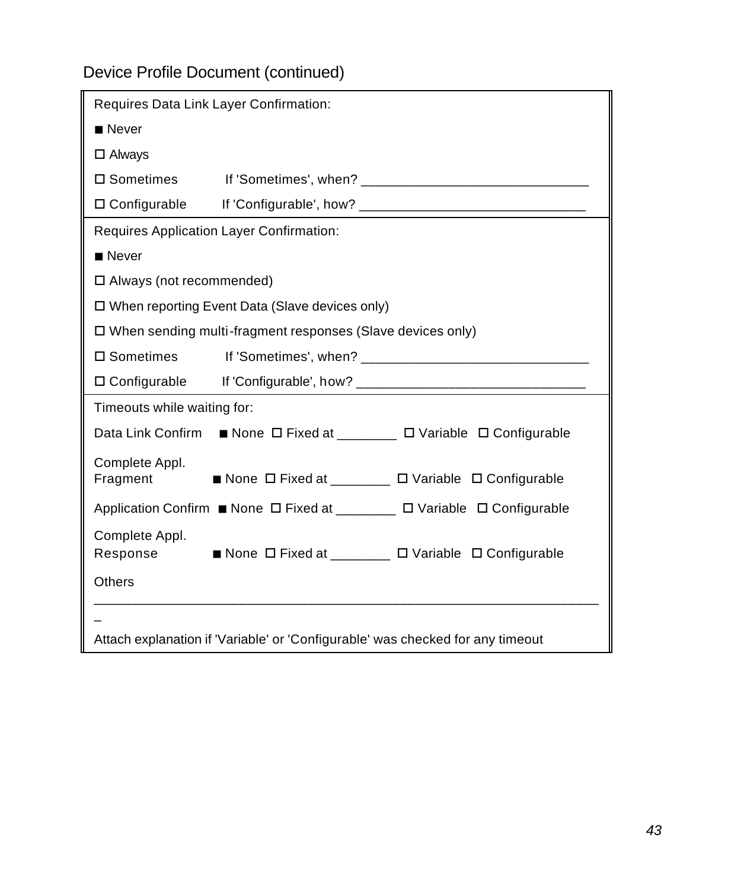### Device Profile Document (continued)

| Requires Data Link Layer Confirmation:                                         |                                                                       |  |  |  |  |  |
|--------------------------------------------------------------------------------|-----------------------------------------------------------------------|--|--|--|--|--|
| $\blacksquare$ Never                                                           |                                                                       |  |  |  |  |  |
| $\Box$ Always                                                                  |                                                                       |  |  |  |  |  |
| $\square$ Sometimes                                                            |                                                                       |  |  |  |  |  |
|                                                                                |                                                                       |  |  |  |  |  |
| Requires Application Layer Confirmation:                                       |                                                                       |  |  |  |  |  |
| $\blacksquare$ Never                                                           |                                                                       |  |  |  |  |  |
| □ Always (not recommended)                                                     |                                                                       |  |  |  |  |  |
|                                                                                | $\Box$ When reporting Event Data (Slave devices only)                 |  |  |  |  |  |
|                                                                                | □ When sending multi-fragment responses (Slave devices only)          |  |  |  |  |  |
| $\square$ Sometimes                                                            |                                                                       |  |  |  |  |  |
|                                                                                |                                                                       |  |  |  |  |  |
| Timeouts while waiting for:                                                    |                                                                       |  |  |  |  |  |
|                                                                                | Data Link Confirm ■ None □ Fixed at _______ □ Variable □ Configurable |  |  |  |  |  |
| Complete Appl.<br>Fragment                                                     | ■ None ロ Fixed at _______ ロ Variable ロ Configurable                   |  |  |  |  |  |
| Application Confirm ■ None ロ Fixed at _______ ロ Variable ロ Configurable        |                                                                       |  |  |  |  |  |
| Complete Appl.<br>Response                                                     | ■ None ロ Fixed at ________ ロ Variable ロ Configurable                  |  |  |  |  |  |
| <b>Others</b>                                                                  |                                                                       |  |  |  |  |  |
|                                                                                |                                                                       |  |  |  |  |  |
| Attach explanation if 'Variable' or 'Configurable' was checked for any timeout |                                                                       |  |  |  |  |  |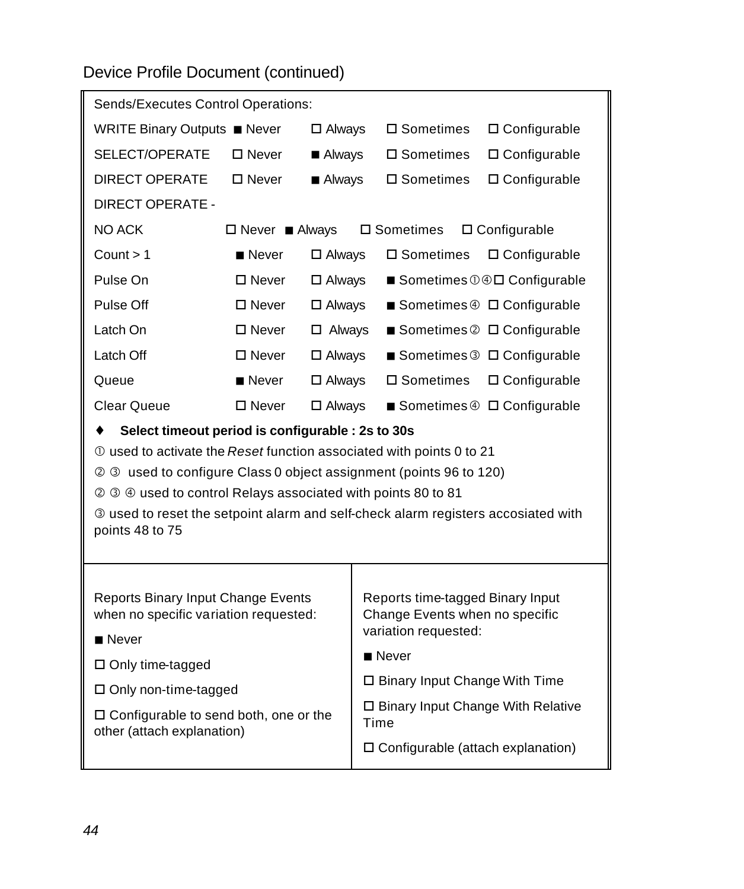Device Profile Document (continued)

| Sends/Executes Control Operations:                                                                                                                                                                                                                                                                                                                                         |                      |                       |                                             |                                                                                            |                                         |  |
|----------------------------------------------------------------------------------------------------------------------------------------------------------------------------------------------------------------------------------------------------------------------------------------------------------------------------------------------------------------------------|----------------------|-----------------------|---------------------------------------------|--------------------------------------------------------------------------------------------|-----------------------------------------|--|
| WRITE Binary Outputs ■ Never                                                                                                                                                                                                                                                                                                                                               |                      | $\Box$ Always         | $\square$ Sometimes                         | □ Configurable                                                                             |                                         |  |
| SELECT/OPERATE                                                                                                                                                                                                                                                                                                                                                             | $\square$ Never      | $\blacksquare$ Always |                                             | $\square$ Sometimes                                                                        | $\square$ Configurable                  |  |
| <b>DIRECT OPERATE</b>                                                                                                                                                                                                                                                                                                                                                      | $\square$ Never      | ■ Always              |                                             | $\square$ Sometimes                                                                        | $\Box$ Configurable                     |  |
| <b>DIRECT OPERATE -</b>                                                                                                                                                                                                                                                                                                                                                    |                      |                       |                                             |                                                                                            |                                         |  |
| NO ACK                                                                                                                                                                                                                                                                                                                                                                     | $\Box$ Never Always  |                       |                                             | □ Sometimes                                                                                | $\square$ Configurable                  |  |
| Count > 1                                                                                                                                                                                                                                                                                                                                                                  | $\blacksquare$ Never | $\Box$ Always         |                                             | $\square$ Sometimes                                                                        | $\Box$ Configurable                     |  |
| Pulse On                                                                                                                                                                                                                                                                                                                                                                   | $\Box$ Never         | $\square$ Always      |                                             |                                                                                            | ■ Sometimes 14D Configurable            |  |
| Pulse Off                                                                                                                                                                                                                                                                                                                                                                  | $\square$ Never      | $\Box$ Always         |                                             |                                                                                            | ■ Sometimes 4 □ Configurable            |  |
| Latch On                                                                                                                                                                                                                                                                                                                                                                   | $\Box$ Never         | $\Box$ Always         |                                             |                                                                                            | Sometimes $\oslash$ $\Box$ Configurable |  |
| Latch Off                                                                                                                                                                                                                                                                                                                                                                  | $\square$ Never      | $\square$ Always      |                                             |                                                                                            | ■ Sometimes 3 □ Configurable            |  |
| Queue                                                                                                                                                                                                                                                                                                                                                                      | $\blacksquare$ Never | $\square$ Always      |                                             | $\square$ Sometimes                                                                        | $\Box$ Configurable                     |  |
| Clear Queue                                                                                                                                                                                                                                                                                                                                                                | $\square$ Never      | $\square$ Always      |                                             |                                                                                            | ■ Sometimes 4 □ Configurable            |  |
| Select timeout period is configurable : 2s to 30s<br>12 0 used to activate the Reset function associated with points 0 to 21<br>2 3 used to configure Class 0 object assignment (points 96 to 120)<br>2 3 4 used to control Relays associated with points 80 to 81<br>3 used to reset the setpoint alarm and self-check alarm registers accosiated with<br>points 48 to 75 |                      |                       |                                             |                                                                                            |                                         |  |
|                                                                                                                                                                                                                                                                                                                                                                            |                      |                       |                                             |                                                                                            |                                         |  |
| Reports Binary Input Change Events<br>when no specific variation requested:                                                                                                                                                                                                                                                                                                |                      |                       |                                             | Reports time-tagged Binary Input<br>Change Events when no specific<br>variation requested: |                                         |  |
| $\blacksquare$ Never                                                                                                                                                                                                                                                                                                                                                       |                      |                       | $\blacksquare$ Never                        |                                                                                            |                                         |  |
| $\Box$ Only time-tagged                                                                                                                                                                                                                                                                                                                                                    |                      |                       |                                             | □ Binary Input Change With Time                                                            |                                         |  |
| □ Only non-time-tagged                                                                                                                                                                                                                                                                                                                                                     |                      |                       |                                             | □ Binary Input Change With Relative                                                        |                                         |  |
| □ Configurable to send both, one or the<br>other (attach explanation)                                                                                                                                                                                                                                                                                                      |                      |                       |                                             | Time                                                                                       |                                         |  |
|                                                                                                                                                                                                                                                                                                                                                                            |                      |                       | $\square$ Configurable (attach explanation) |                                                                                            |                                         |  |
|                                                                                                                                                                                                                                                                                                                                                                            |                      |                       |                                             |                                                                                            |                                         |  |